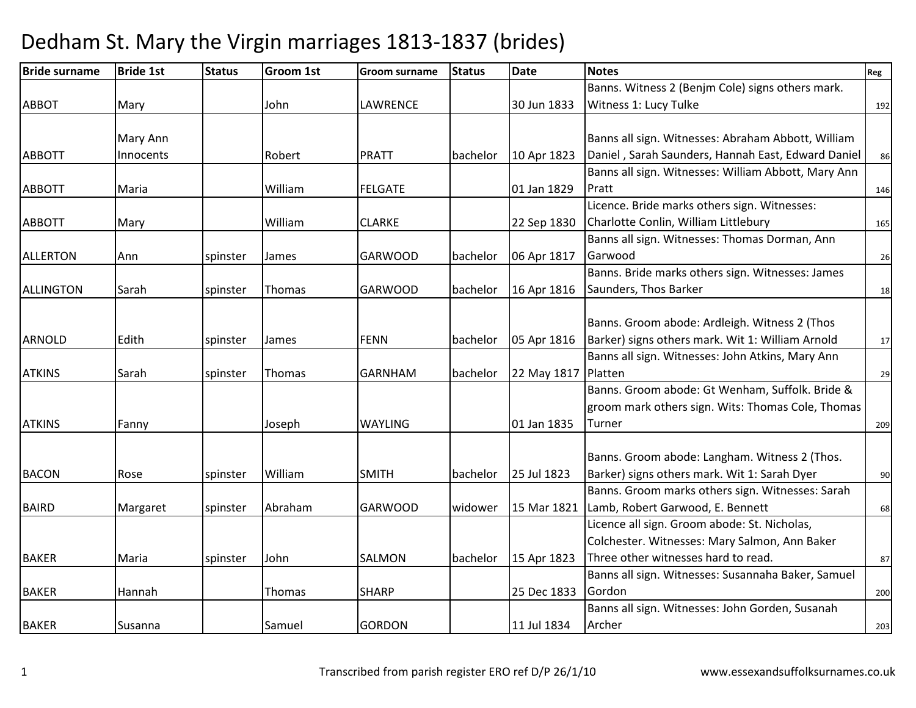| <b>Bride surname</b> | <b>Bride 1st</b> | <b>Status</b> | <b>Groom 1st</b> | <b>Groom surname</b> | <b>Status</b> | <b>Date</b> | <b>Notes</b>                                        | Reg |
|----------------------|------------------|---------------|------------------|----------------------|---------------|-------------|-----------------------------------------------------|-----|
|                      |                  |               |                  |                      |               |             | Banns. Witness 2 (Benjm Cole) signs others mark.    |     |
| <b>ABBOT</b>         | Mary             |               | John             | <b>LAWRENCE</b>      |               | 30 Jun 1833 | Witness 1: Lucy Tulke                               | 192 |
|                      |                  |               |                  |                      |               |             |                                                     |     |
|                      | Mary Ann         |               |                  |                      |               |             | Banns all sign. Witnesses: Abraham Abbott, William  |     |
| <b>ABBOTT</b>        | Innocents        |               | Robert           | <b>PRATT</b>         | bachelor      | 10 Apr 1823 | Daniel, Sarah Saunders, Hannah East, Edward Daniel  | 86  |
|                      |                  |               |                  |                      |               |             | Banns all sign. Witnesses: William Abbott, Mary Ann |     |
| <b>ABBOTT</b>        | Maria            |               | William          | <b>FELGATE</b>       |               | 01 Jan 1829 | Pratt                                               | 146 |
|                      |                  |               |                  |                      |               |             | Licence. Bride marks others sign. Witnesses:        |     |
| <b>ABBOTT</b>        | Mary             |               | William          | <b>CLARKE</b>        |               | 22 Sep 1830 | Charlotte Conlin, William Littlebury                | 165 |
|                      |                  |               |                  |                      |               |             | Banns all sign. Witnesses: Thomas Dorman, Ann       |     |
| <b>ALLERTON</b>      | Ann              | spinster      | James            | <b>GARWOOD</b>       | bachelor      | 06 Apr 1817 | Garwood                                             | 26  |
|                      |                  |               |                  |                      |               |             | Banns. Bride marks others sign. Witnesses: James    |     |
| ALLINGTON            | Sarah            | spinster      | Thomas           | <b>GARWOOD</b>       | bachelor      | 16 Apr 1816 | Saunders, Thos Barker                               | 18  |
|                      |                  |               |                  |                      |               |             |                                                     |     |
|                      |                  |               |                  |                      |               |             | Banns. Groom abode: Ardleigh. Witness 2 (Thos       |     |
| ARNOLD               | Edith            | spinster      | James            | <b>FENN</b>          | bachelor      | 05 Apr 1816 | Barker) signs others mark. Wit 1: William Arnold    | 17  |
|                      |                  |               |                  |                      |               |             | Banns all sign. Witnesses: John Atkins, Mary Ann    |     |
| <b>ATKINS</b>        | Sarah            | spinster      | Thomas           | <b>GARNHAM</b>       | bachelor      | 22 May 1817 | Platten                                             | 29  |
|                      |                  |               |                  |                      |               |             | Banns. Groom abode: Gt Wenham, Suffolk. Bride &     |     |
|                      |                  |               |                  |                      |               |             | groom mark others sign. Wits: Thomas Cole, Thomas   |     |
| <b>ATKINS</b>        | Fanny            |               | Joseph           | <b>WAYLING</b>       |               | 01 Jan 1835 | Turner                                              | 209 |
|                      |                  |               |                  |                      |               |             |                                                     |     |
|                      |                  |               |                  |                      |               |             | Banns. Groom abode: Langham. Witness 2 (Thos.       |     |
| <b>BACON</b>         | Rose             | spinster      | William          | <b>SMITH</b>         | bachelor      | 25 Jul 1823 | Barker) signs others mark. Wit 1: Sarah Dyer        | 90  |
|                      |                  |               |                  |                      |               |             | Banns. Groom marks others sign. Witnesses: Sarah    |     |
| <b>BAIRD</b>         | Margaret         | spinster      | Abraham          | <b>GARWOOD</b>       | widower       | 15 Mar 1821 | Lamb, Robert Garwood, E. Bennett                    | 68  |
|                      |                  |               |                  |                      |               |             | Licence all sign. Groom abode: St. Nicholas,        |     |
|                      |                  |               |                  |                      |               |             | Colchester. Witnesses: Mary Salmon, Ann Baker       |     |
| <b>BAKER</b>         | Maria            | spinster      | John             | <b>SALMON</b>        | bachelor      | 15 Apr 1823 | Three other witnesses hard to read.                 | 87  |
|                      |                  |               |                  |                      |               |             | Banns all sign. Witnesses: Susannaha Baker, Samuel  |     |
| <b>BAKER</b>         | Hannah           |               | Thomas           | <b>SHARP</b>         |               | 25 Dec 1833 | Gordon                                              | 200 |
|                      |                  |               |                  |                      |               |             | Banns all sign. Witnesses: John Gorden, Susanah     |     |
| <b>BAKER</b>         | Susanna          |               | Samuel           | <b>GORDON</b>        |               | 11 Jul 1834 | Archer                                              | 203 |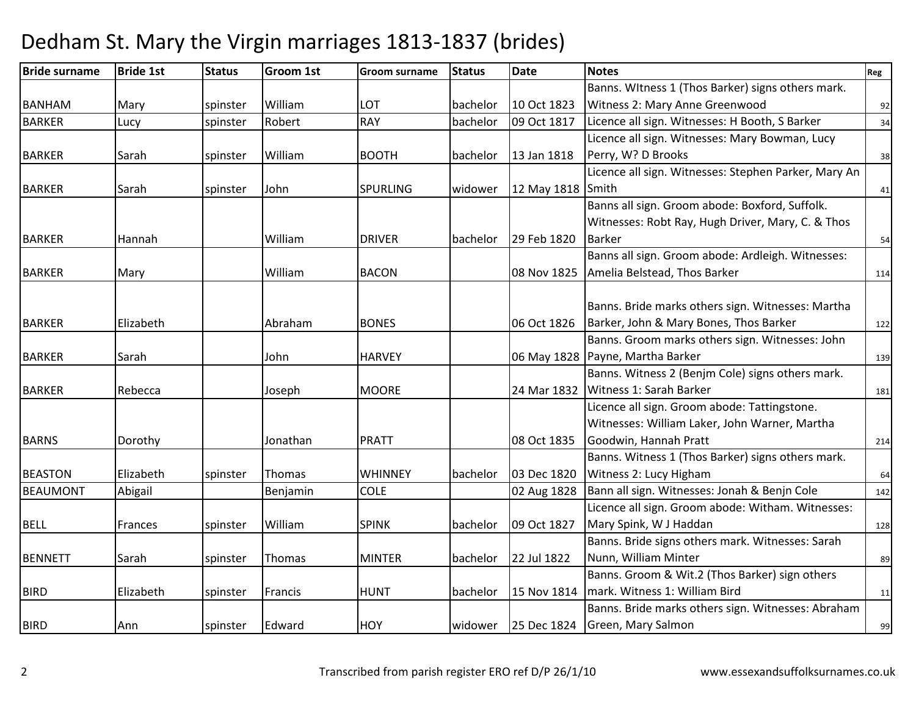| <b>Bride surname</b> | <b>Bride 1st</b> | <b>Status</b> | <b>Groom 1st</b> | <b>Groom surname</b> | <b>Status</b> | <b>Date</b> | <b>Notes</b>                                         | Reg |
|----------------------|------------------|---------------|------------------|----------------------|---------------|-------------|------------------------------------------------------|-----|
|                      |                  |               |                  |                      |               |             | Banns. Witness 1 (Thos Barker) signs others mark.    |     |
| <b>BANHAM</b>        | Mary             | spinster      | William          | LOT                  | bachelor      | 10 Oct 1823 | Witness 2: Mary Anne Greenwood                       | 92  |
| <b>BARKER</b>        | Lucy             | spinster      | Robert           | <b>RAY</b>           | bachelor      | 09 Oct 1817 | Licence all sign. Witnesses: H Booth, S Barker       | 34  |
|                      |                  |               |                  |                      |               |             | Licence all sign. Witnesses: Mary Bowman, Lucy       |     |
| <b>BARKER</b>        | Sarah            | spinster      | William          | <b>BOOTH</b>         | bachelor      | 13 Jan 1818 | Perry, W? D Brooks                                   | 38  |
|                      |                  |               |                  |                      |               |             | Licence all sign. Witnesses: Stephen Parker, Mary An |     |
| <b>BARKER</b>        | Sarah            | spinster      | John             | <b>SPURLING</b>      | widower       | 12 May 1818 | Smith                                                | 41  |
|                      |                  |               |                  |                      |               |             | Banns all sign. Groom abode: Boxford, Suffolk.       |     |
|                      |                  |               |                  |                      |               |             | Witnesses: Robt Ray, Hugh Driver, Mary, C. & Thos    |     |
| <b>BARKER</b>        | Hannah           |               | William          | <b>DRIVER</b>        | bachelor      | 29 Feb 1820 | <b>Barker</b>                                        | 54  |
|                      |                  |               |                  |                      |               |             | Banns all sign. Groom abode: Ardleigh. Witnesses:    |     |
| <b>BARKER</b>        | Mary             |               | William          | <b>BACON</b>         |               | 08 Nov 1825 | Amelia Belstead, Thos Barker                         | 114 |
|                      |                  |               |                  |                      |               |             |                                                      |     |
|                      |                  |               |                  |                      |               |             | Banns. Bride marks others sign. Witnesses: Martha    |     |
| <b>BARKER</b>        | Elizabeth        |               | Abraham          | <b>BONES</b>         |               | 06 Oct 1826 | Barker, John & Mary Bones, Thos Barker               | 122 |
|                      |                  |               |                  |                      |               |             | Banns. Groom marks others sign. Witnesses: John      |     |
| <b>BARKER</b>        | Sarah            |               | John             | <b>HARVEY</b>        |               | 06 May 1828 | Payne, Martha Barker                                 | 139 |
|                      |                  |               |                  |                      |               |             | Banns. Witness 2 (Benjm Cole) signs others mark.     |     |
| <b>BARKER</b>        | Rebecca          |               | Joseph           | <b>MOORE</b>         |               | 24 Mar 1832 | Witness 1: Sarah Barker                              | 181 |
|                      |                  |               |                  |                      |               |             | Licence all sign. Groom abode: Tattingstone.         |     |
|                      |                  |               |                  |                      |               |             | Witnesses: William Laker, John Warner, Martha        |     |
| <b>BARNS</b>         | Dorothy          |               | Jonathan         | <b>PRATT</b>         |               | 08 Oct 1835 | Goodwin, Hannah Pratt                                | 214 |
|                      |                  |               |                  |                      |               |             | Banns. Witness 1 (Thos Barker) signs others mark.    |     |
| <b>BEASTON</b>       | Elizabeth        | spinster      | Thomas           | <b>WHINNEY</b>       | bachelor      | 03 Dec 1820 | Witness 2: Lucy Higham                               | 64  |
| <b>BEAUMONT</b>      | Abigail          |               | Benjamin         | <b>COLE</b>          |               | 02 Aug 1828 | Bann all sign. Witnesses: Jonah & Benjn Cole         | 142 |
|                      |                  |               |                  |                      |               |             | Licence all sign. Groom abode: Witham. Witnesses:    |     |
| <b>BELL</b>          | Frances          | spinster      | William          | <b>SPINK</b>         | bachelor      | 09 Oct 1827 | Mary Spink, W J Haddan                               | 128 |
|                      |                  |               |                  |                      |               |             | Banns. Bride signs others mark. Witnesses: Sarah     |     |
| <b>BENNETT</b>       | Sarah            | spinster      | Thomas           | <b>MINTER</b>        | bachelor      | 22 Jul 1822 | Nunn, William Minter                                 | 89  |
|                      |                  |               |                  |                      |               |             | Banns. Groom & Wit.2 (Thos Barker) sign others       |     |
| <b>BIRD</b>          | Elizabeth        | spinster      | Francis          | <b>HUNT</b>          | bachelor      | 15 Nov 1814 | mark. Witness 1: William Bird                        | 11  |
|                      |                  |               |                  |                      |               |             | Banns. Bride marks others sign. Witnesses: Abraham   |     |
| <b>BIRD</b>          | Ann              | spinster      | Edward           | <b>HOY</b>           | widower       | 25 Dec 1824 | Green, Mary Salmon                                   | 99  |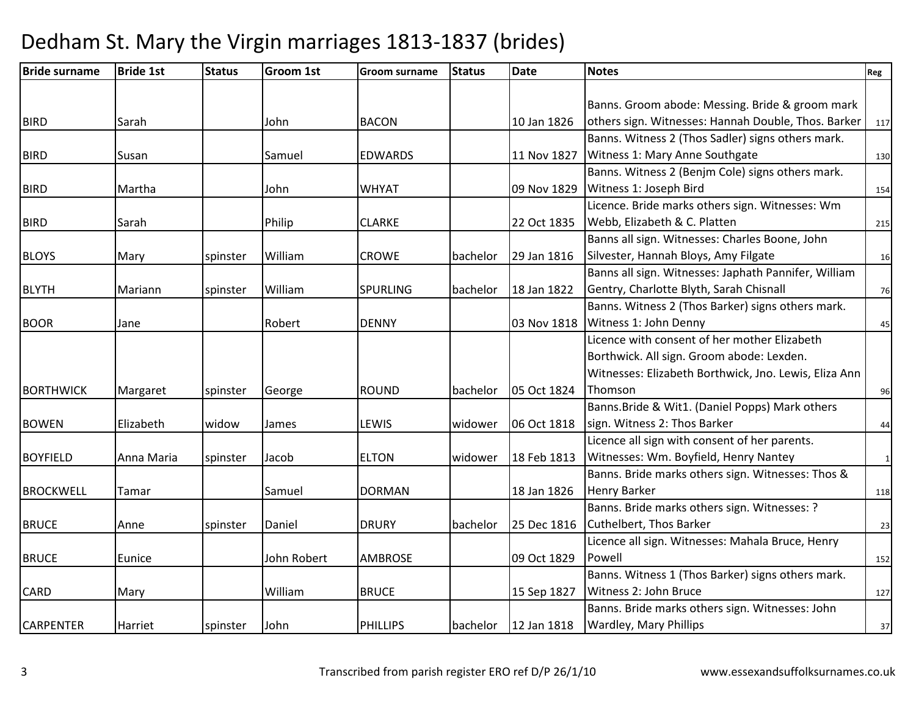| <b>Bride surname</b> | <b>Bride 1st</b> | <b>Status</b> | <b>Groom 1st</b> | <b>Groom surname</b> | <b>Status</b> | <b>Date</b> | <b>Notes</b>                                          | Reg          |
|----------------------|------------------|---------------|------------------|----------------------|---------------|-------------|-------------------------------------------------------|--------------|
|                      |                  |               |                  |                      |               |             |                                                       |              |
|                      |                  |               |                  |                      |               |             | Banns. Groom abode: Messing. Bride & groom mark       |              |
| <b>BIRD</b>          | Sarah            |               | John             | <b>BACON</b>         |               | 10 Jan 1826 | others sign. Witnesses: Hannah Double, Thos. Barker   | 117          |
|                      |                  |               |                  |                      |               |             | Banns. Witness 2 (Thos Sadler) signs others mark.     |              |
| <b>BIRD</b>          | Susan            |               | Samuel           | <b>EDWARDS</b>       |               | 11 Nov 1827 | Witness 1: Mary Anne Southgate                        | 130          |
|                      |                  |               |                  |                      |               |             | Banns. Witness 2 (Benjm Cole) signs others mark.      |              |
| <b>BIRD</b>          | Martha           |               | John             | <b>WHYAT</b>         |               | 09 Nov 1829 | Witness 1: Joseph Bird                                | 154          |
|                      |                  |               |                  |                      |               |             | Licence. Bride marks others sign. Witnesses: Wm       |              |
| <b>BIRD</b>          | Sarah            |               | Philip           | <b>CLARKE</b>        |               | 22 Oct 1835 | Webb, Elizabeth & C. Platten                          | 215          |
|                      |                  |               |                  |                      |               |             | Banns all sign. Witnesses: Charles Boone, John        |              |
| <b>BLOYS</b>         | Mary             | spinster      | William          | <b>CROWE</b>         | bachelor      | 29 Jan 1816 | Silvester, Hannah Bloys, Amy Filgate                  | 16           |
|                      |                  |               |                  |                      |               |             | Banns all sign. Witnesses: Japhath Pannifer, William  |              |
| <b>BLYTH</b>         | Mariann          | spinster      | William          | <b>SPURLING</b>      | bachelor      | 18 Jan 1822 | Gentry, Charlotte Blyth, Sarah Chisnall               | 76           |
|                      |                  |               |                  |                      |               |             | Banns. Witness 2 (Thos Barker) signs others mark.     |              |
| <b>BOOR</b>          | Jane             |               | Robert           | <b>DENNY</b>         |               | 03 Nov 1818 | Witness 1: John Denny                                 | 45           |
|                      |                  |               |                  |                      |               |             | Licence with consent of her mother Elizabeth          |              |
|                      |                  |               |                  |                      |               |             | Borthwick. All sign. Groom abode: Lexden.             |              |
|                      |                  |               |                  |                      |               |             | Witnesses: Elizabeth Borthwick, Jno. Lewis, Eliza Ann |              |
| <b>BORTHWICK</b>     | Margaret         | spinster      | George           | <b>ROUND</b>         | bachelor      | 05 Oct 1824 | Thomson                                               | 96           |
|                      |                  |               |                  |                      |               |             | Banns. Bride & Wit1. (Daniel Popps) Mark others       |              |
| <b>BOWEN</b>         | Elizabeth        | widow         | James            | <b>LEWIS</b>         | widower       | 06 Oct 1818 | sign. Witness 2: Thos Barker                          | 44           |
|                      |                  |               |                  |                      |               |             | Licence all sign with consent of her parents.         |              |
| <b>BOYFIELD</b>      | Anna Maria       | spinster      | Jacob            | <b>ELTON</b>         | widower       | 18 Feb 1813 | Witnesses: Wm. Boyfield, Henry Nantey                 | $\mathbf{1}$ |
|                      |                  |               |                  |                      |               |             | Banns. Bride marks others sign. Witnesses: Thos &     |              |
| <b>BROCKWELL</b>     | Tamar            |               | Samuel           | <b>DORMAN</b>        |               | 18 Jan 1826 | <b>Henry Barker</b>                                   | 118          |
|                      |                  |               |                  |                      |               |             | Banns. Bride marks others sign. Witnesses: ?          |              |
| <b>BRUCE</b>         | Anne             | spinster      | Daniel           | <b>DRURY</b>         | bachelor      | 25 Dec 1816 | <b>Cuthelbert, Thos Barker</b>                        | 23           |
|                      |                  |               |                  |                      |               |             | Licence all sign. Witnesses: Mahala Bruce, Henry      |              |
| <b>BRUCE</b>         | Eunice           |               | John Robert      | <b>AMBROSE</b>       |               | 09 Oct 1829 | Powell                                                | 152          |
|                      |                  |               |                  |                      |               |             | Banns. Witness 1 (Thos Barker) signs others mark.     |              |
| <b>CARD</b>          | Mary             |               | William          | <b>BRUCE</b>         |               | 15 Sep 1827 | Witness 2: John Bruce                                 | 127          |
|                      |                  |               |                  |                      |               |             | Banns. Bride marks others sign. Witnesses: John       |              |
| <b>CARPENTER</b>     | Harriet          | spinster      | John             | <b>PHILLIPS</b>      | bachelor      | 12 Jan 1818 | Wardley, Mary Phillips                                | 37           |
|                      |                  |               |                  |                      |               |             |                                                       |              |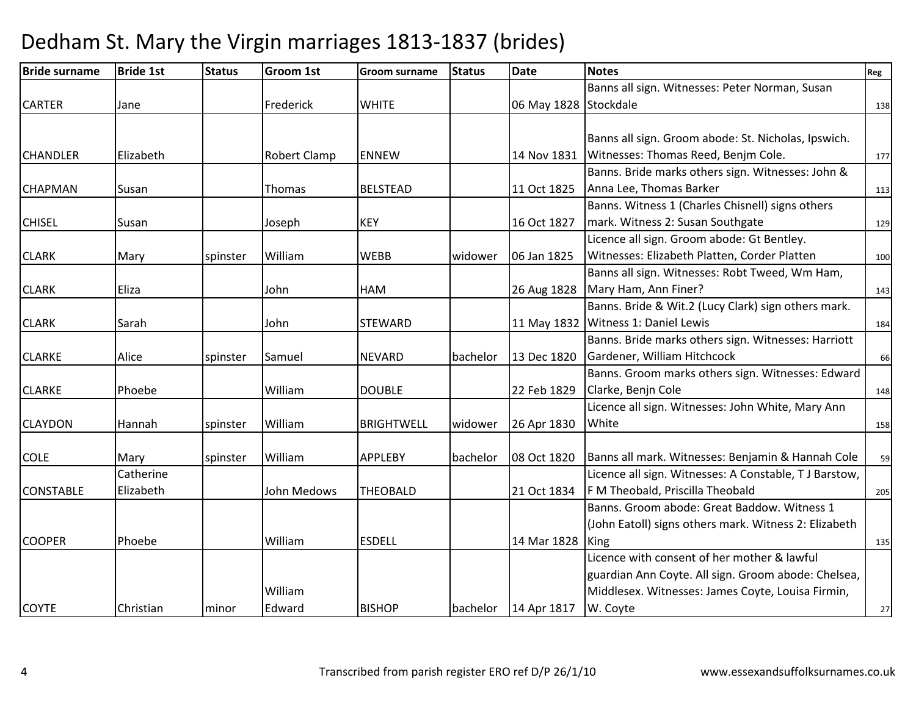| <b>Bride surname</b> | <b>Bride 1st</b> | <b>Status</b> | <b>Groom 1st</b>    | <b>Groom surname</b> | <b>Status</b> | <b>Date</b>           | <b>Notes</b>                                           | Reg |
|----------------------|------------------|---------------|---------------------|----------------------|---------------|-----------------------|--------------------------------------------------------|-----|
|                      |                  |               |                     |                      |               |                       | Banns all sign. Witnesses: Peter Norman, Susan         |     |
| <b>CARTER</b>        | Jane             |               | Frederick           | <b>WHITE</b>         |               | 06 May 1828 Stockdale |                                                        | 138 |
|                      |                  |               |                     |                      |               |                       |                                                        |     |
|                      |                  |               |                     |                      |               |                       | Banns all sign. Groom abode: St. Nicholas, Ipswich.    |     |
| <b>CHANDLER</b>      | Elizabeth        |               | <b>Robert Clamp</b> | <b>ENNEW</b>         |               | 14 Nov 1831           | Witnesses: Thomas Reed, Benjm Cole.                    | 177 |
|                      |                  |               |                     |                      |               |                       | Banns. Bride marks others sign. Witnesses: John &      |     |
| <b>CHAPMAN</b>       | Susan            |               | Thomas              | <b>BELSTEAD</b>      |               | 11 Oct 1825           | Anna Lee, Thomas Barker                                | 113 |
|                      |                  |               |                     |                      |               |                       | Banns. Witness 1 (Charles Chisnell) signs others       |     |
| <b>CHISEL</b>        | Susan            |               | Joseph              | <b>KEY</b>           |               | 16 Oct 1827           | mark. Witness 2: Susan Southgate                       | 129 |
|                      |                  |               |                     |                      |               |                       | Licence all sign. Groom abode: Gt Bentley.             |     |
| <b>CLARK</b>         | Mary             | spinster      | William             | <b>WEBB</b>          | widower       | 06 Jan 1825           | Witnesses: Elizabeth Platten, Corder Platten           | 100 |
|                      |                  |               |                     |                      |               |                       | Banns all sign. Witnesses: Robt Tweed, Wm Ham,         |     |
| <b>CLARK</b>         | Eliza            |               | John                | <b>HAM</b>           |               | 26 Aug 1828           | Mary Ham, Ann Finer?                                   | 143 |
|                      |                  |               |                     |                      |               |                       | Banns. Bride & Wit.2 (Lucy Clark) sign others mark.    |     |
| <b>CLARK</b>         | Sarah            |               | John                | <b>STEWARD</b>       |               |                       | 11 May 1832 Witness 1: Daniel Lewis                    | 184 |
|                      |                  |               |                     |                      |               |                       | Banns. Bride marks others sign. Witnesses: Harriott    |     |
| <b>CLARKE</b>        | Alice            | spinster      | Samuel              | <b>NEVARD</b>        | bachelor      | 13 Dec 1820           | Gardener, William Hitchcock                            | 66  |
|                      |                  |               |                     |                      |               |                       | Banns. Groom marks others sign. Witnesses: Edward      |     |
| <b>CLARKE</b>        | Phoebe           |               | William             | <b>DOUBLE</b>        |               | 22 Feb 1829           | Clarke, Benjn Cole                                     | 148 |
|                      |                  |               |                     |                      |               |                       | Licence all sign. Witnesses: John White, Mary Ann      |     |
| <b>CLAYDON</b>       | Hannah           | spinster      | William             | <b>BRIGHTWELL</b>    | widower       | 26 Apr 1830           | White                                                  | 158 |
|                      |                  |               |                     |                      |               |                       |                                                        |     |
| <b>COLE</b>          | Mary             | spinster      | William             | <b>APPLEBY</b>       | bachelor      | 08 Oct 1820           | Banns all mark. Witnesses: Benjamin & Hannah Cole      | 59  |
|                      | Catherine        |               |                     |                      |               |                       | Licence all sign. Witnesses: A Constable, T J Barstow, |     |
| <b>CONSTABLE</b>     | Elizabeth        |               | John Medows         | <b>THEOBALD</b>      |               | 21 Oct 1834           | F M Theobald, Priscilla Theobald                       | 205 |
|                      |                  |               |                     |                      |               |                       | Banns. Groom abode: Great Baddow. Witness 1            |     |
|                      |                  |               |                     |                      |               |                       | (John Eatoll) signs others mark. Witness 2: Elizabeth  |     |
| <b>COOPER</b>        | Phoebe           |               | William             | <b>ESDELL</b>        |               | 14 Mar 1828           | King                                                   | 135 |
|                      |                  |               |                     |                      |               |                       | Licence with consent of her mother & lawful            |     |
|                      |                  |               |                     |                      |               |                       | guardian Ann Coyte. All sign. Groom abode: Chelsea,    |     |
|                      |                  |               | William             |                      |               |                       | Middlesex. Witnesses: James Coyte, Louisa Firmin,      |     |
| <b>COYTE</b>         | Christian        | minor         | Edward              | <b>BISHOP</b>        | bachelor      | 14 Apr 1817           | W. Coyte                                               | 27  |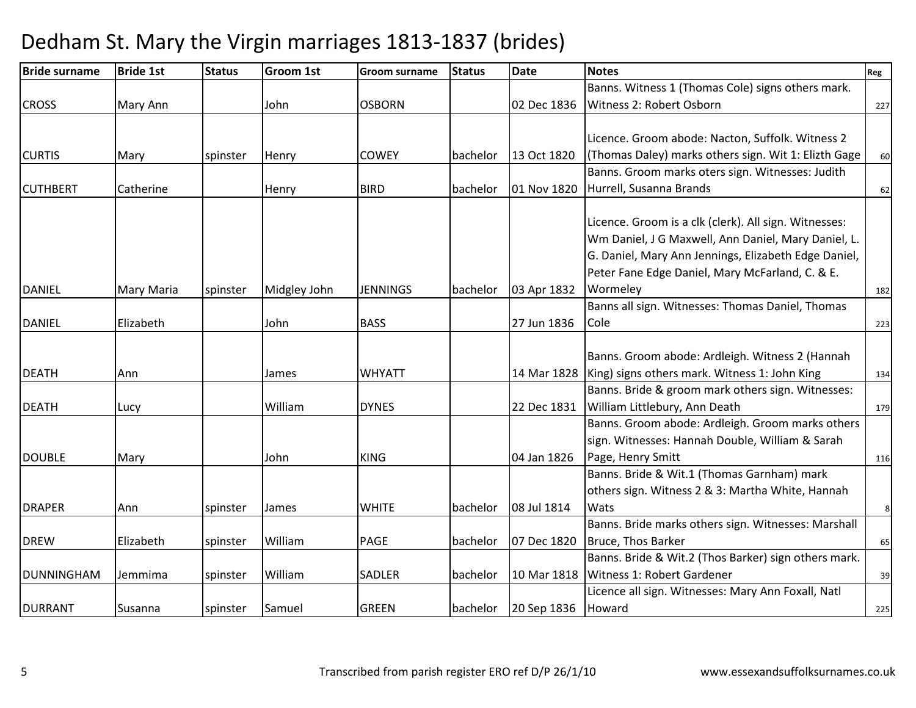| <b>Bride surname</b> | <b>Bride 1st</b>  | <b>Status</b> | <b>Groom 1st</b> | <b>Groom surname</b> | <b>Status</b> | <b>Date</b>          | <b>Notes</b>                                          | Reg |
|----------------------|-------------------|---------------|------------------|----------------------|---------------|----------------------|-------------------------------------------------------|-----|
|                      |                   |               |                  |                      |               |                      | Banns. Witness 1 (Thomas Cole) signs others mark.     |     |
| <b>CROSS</b>         | Mary Ann          |               | John             | <b>OSBORN</b>        |               | 02 Dec 1836          | Witness 2: Robert Osborn                              | 227 |
|                      |                   |               |                  |                      |               |                      |                                                       |     |
|                      |                   |               |                  |                      |               |                      | Licence. Groom abode: Nacton, Suffolk. Witness 2      |     |
| <b>CURTIS</b>        | Mary              | spinster      | Henry            | <b>COWEY</b>         | bachelor      | 13 Oct 1820          | (Thomas Daley) marks others sign. Wit 1: Elizth Gage  | 60  |
|                      |                   |               |                  |                      |               |                      | Banns. Groom marks oters sign. Witnesses: Judith      |     |
| <b>CUTHBERT</b>      | Catherine         |               | Henry            | <b>BIRD</b>          | bachelor      | 01 Nov 1820          | Hurrell, Susanna Brands                               | 62  |
|                      |                   |               |                  |                      |               |                      |                                                       |     |
|                      |                   |               |                  |                      |               |                      | Licence. Groom is a clk (clerk). All sign. Witnesses: |     |
|                      |                   |               |                  |                      |               |                      | Wm Daniel, J G Maxwell, Ann Daniel, Mary Daniel, L.   |     |
|                      |                   |               |                  |                      |               |                      | G. Daniel, Mary Ann Jennings, Elizabeth Edge Daniel,  |     |
|                      |                   |               |                  |                      |               |                      | Peter Fane Edge Daniel, Mary McFarland, C. & E.       |     |
| <b>DANIEL</b>        | <b>Mary Maria</b> | spinster      | Midgley John     | <b>JENNINGS</b>      | bachelor      | 03 Apr 1832          | Wormeley                                              | 182 |
|                      |                   |               |                  |                      |               |                      | Banns all sign. Witnesses: Thomas Daniel, Thomas      |     |
| <b>DANIEL</b>        | Elizabeth         |               | John             | <b>BASS</b>          |               | 27 Jun 1836          | Cole                                                  | 223 |
|                      |                   |               |                  |                      |               |                      |                                                       |     |
|                      |                   |               |                  |                      |               |                      | Banns. Groom abode: Ardleigh. Witness 2 (Hannah       |     |
| <b>DEATH</b>         | Ann               |               | James            | <b>WHYATT</b>        |               | 14 Mar 1828          | King) signs others mark. Witness 1: John King         | 134 |
|                      |                   |               |                  |                      |               |                      | Banns. Bride & groom mark others sign. Witnesses:     |     |
| <b>DEATH</b>         | Lucy              |               | William          | <b>DYNES</b>         |               | 22 Dec 1831          | William Littlebury, Ann Death                         | 179 |
|                      |                   |               |                  |                      |               |                      | Banns. Groom abode: Ardleigh. Groom marks others      |     |
|                      |                   |               |                  |                      |               |                      | sign. Witnesses: Hannah Double, William & Sarah       |     |
| <b>DOUBLE</b>        | Mary              |               | John             | <b>KING</b>          |               | 04 Jan 1826          | Page, Henry Smitt                                     | 116 |
|                      |                   |               |                  |                      |               |                      | Banns. Bride & Wit.1 (Thomas Garnham) mark            |     |
|                      |                   |               |                  |                      |               |                      | others sign. Witness 2 & 3: Martha White, Hannah      |     |
| <b>DRAPER</b>        | Ann               | spinster      | James            | <b>WHITE</b>         | bachelor      | 08 Jul 1814          | Wats                                                  | 8   |
|                      |                   |               |                  |                      |               |                      | Banns. Bride marks others sign. Witnesses: Marshall   |     |
| <b>DREW</b>          | Elizabeth         | spinster      | William          | PAGE                 | bachelor      | 07 Dec 1820          | Bruce, Thos Barker                                    | 65  |
|                      |                   |               |                  |                      |               |                      | Banns. Bride & Wit.2 (Thos Barker) sign others mark.  |     |
| <b>DUNNINGHAM</b>    | Jemmima           | spinster      | William          | <b>SADLER</b>        | bachelor      | 10 Mar 1818          | Witness 1: Robert Gardener                            | 39  |
|                      |                   |               |                  |                      |               |                      | Licence all sign. Witnesses: Mary Ann Foxall, Natl    |     |
| <b>DURRANT</b>       | Susanna           | spinster      | Samuel           | <b>GREEN</b>         |               | bachelor 20 Sep 1836 | Howard                                                | 225 |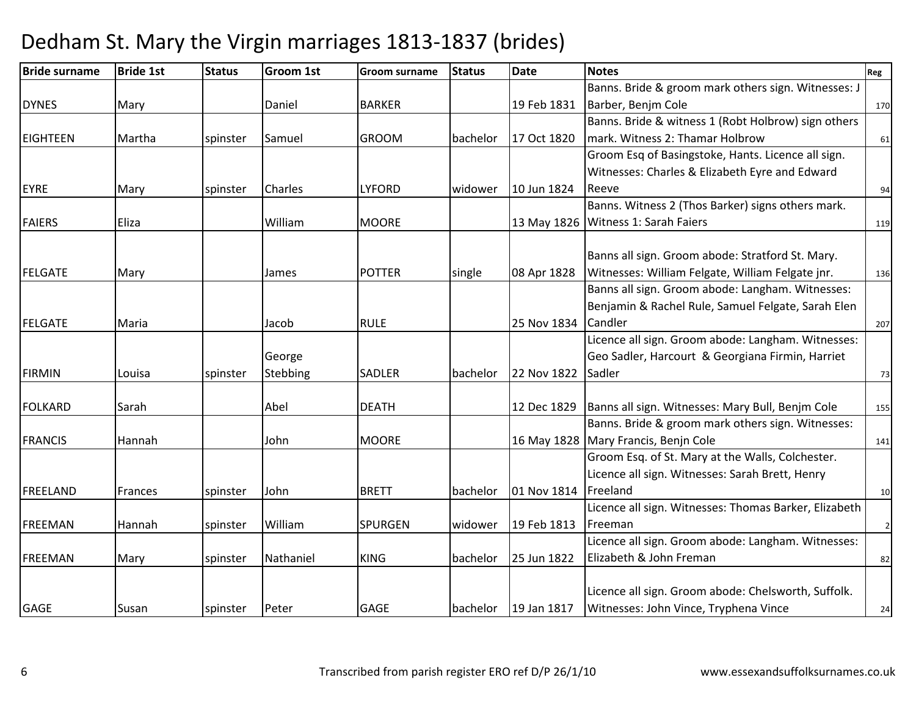| <b>Bride surname</b> | <b>Bride 1st</b> | <b>Status</b> | <b>Groom 1st</b> | <b>Groom surname</b> | <b>Status</b> | <b>Date</b> | <b>Notes</b>                                          | Reg                     |
|----------------------|------------------|---------------|------------------|----------------------|---------------|-------------|-------------------------------------------------------|-------------------------|
|                      |                  |               |                  |                      |               |             | Banns. Bride & groom mark others sign. Witnesses: J   |                         |
| <b>DYNES</b>         | Mary             |               | Daniel           | <b>BARKER</b>        |               | 19 Feb 1831 | Barber, Benjm Cole                                    | 170                     |
|                      |                  |               |                  |                      |               |             | Banns. Bride & witness 1 (Robt Holbrow) sign others   |                         |
| <b>EIGHTEEN</b>      | Martha           | spinster      | Samuel           | <b>GROOM</b>         | bachelor      | 17 Oct 1820 | mark. Witness 2: Thamar Holbrow                       | 61                      |
|                      |                  |               |                  |                      |               |             | Groom Esq of Basingstoke, Hants. Licence all sign.    |                         |
|                      |                  |               |                  |                      |               |             | Witnesses: Charles & Elizabeth Eyre and Edward        |                         |
| <b>EYRE</b>          | Mary             | spinster      | <b>Charles</b>   | <b>LYFORD</b>        | widower       | 10 Jun 1824 | Reeve                                                 | 94                      |
|                      |                  |               |                  |                      |               |             | Banns. Witness 2 (Thos Barker) signs others mark.     |                         |
| <b>FAIERS</b>        | Eliza            |               | William          | <b>MOORE</b>         |               |             | 13 May 1826   Witness 1: Sarah Faiers                 | 119                     |
|                      |                  |               |                  |                      |               |             |                                                       |                         |
|                      |                  |               |                  |                      |               |             | Banns all sign. Groom abode: Stratford St. Mary.      |                         |
| <b>FELGATE</b>       | Mary             |               | James            | <b>POTTER</b>        | single        | 08 Apr 1828 | Witnesses: William Felgate, William Felgate jnr.      | 136                     |
|                      |                  |               |                  |                      |               |             | Banns all sign. Groom abode: Langham. Witnesses:      |                         |
|                      |                  |               |                  |                      |               |             | Benjamin & Rachel Rule, Samuel Felgate, Sarah Elen    |                         |
| <b>FELGATE</b>       | Maria            |               | Jacob            | <b>RULE</b>          |               | 25 Nov 1834 | Candler                                               | 207                     |
|                      |                  |               |                  |                      |               |             | Licence all sign. Groom abode: Langham. Witnesses:    |                         |
|                      |                  |               | George           |                      |               |             | Geo Sadler, Harcourt & Georgiana Firmin, Harriet      |                         |
| <b>FIRMIN</b>        | Louisa           | spinster      | Stebbing         | <b>SADLER</b>        | bachelor      | 22 Nov 1822 | Sadler                                                | 73                      |
| <b>FOLKARD</b>       | Sarah            |               | Abel             | <b>DEATH</b>         |               | 12 Dec 1829 | Banns all sign. Witnesses: Mary Bull, Benjm Cole      | 155                     |
|                      |                  |               |                  |                      |               |             | Banns. Bride & groom mark others sign. Witnesses:     |                         |
| <b>FRANCIS</b>       | Hannah           |               | John             | <b>MOORE</b>         |               |             | 16 May 1828 Mary Francis, Benjn Cole                  | 141                     |
|                      |                  |               |                  |                      |               |             | Groom Esq. of St. Mary at the Walls, Colchester.      |                         |
|                      |                  |               |                  |                      |               |             | Licence all sign. Witnesses: Sarah Brett, Henry       |                         |
| FREELAND             | Frances          | spinster      | John             | <b>BRETT</b>         | bachelor      | 01 Nov 1814 | Freeland                                              | 10                      |
|                      |                  |               |                  |                      |               |             | Licence all sign. Witnesses: Thomas Barker, Elizabeth |                         |
| <b>FREEMAN</b>       | Hannah           | spinster      | William          | <b>SPURGEN</b>       | widower       | 19 Feb 1813 | Freeman                                               | $\overline{\mathbf{c}}$ |
|                      |                  |               |                  |                      |               |             | Licence all sign. Groom abode: Langham. Witnesses:    |                         |
| FREEMAN              | Mary             | spinster      | Nathaniel        | <b>KING</b>          | bachelor      | 25 Jun 1822 | Elizabeth & John Freman                               | 82                      |
|                      |                  |               |                  |                      |               |             |                                                       |                         |
|                      |                  |               |                  |                      |               |             | Licence all sign. Groom abode: Chelsworth, Suffolk.   |                         |
| <b>GAGE</b>          | Susan            | spinster      | Peter            | <b>GAGE</b>          | bachelor      | 19 Jan 1817 | Witnesses: John Vince, Tryphena Vince                 | 24                      |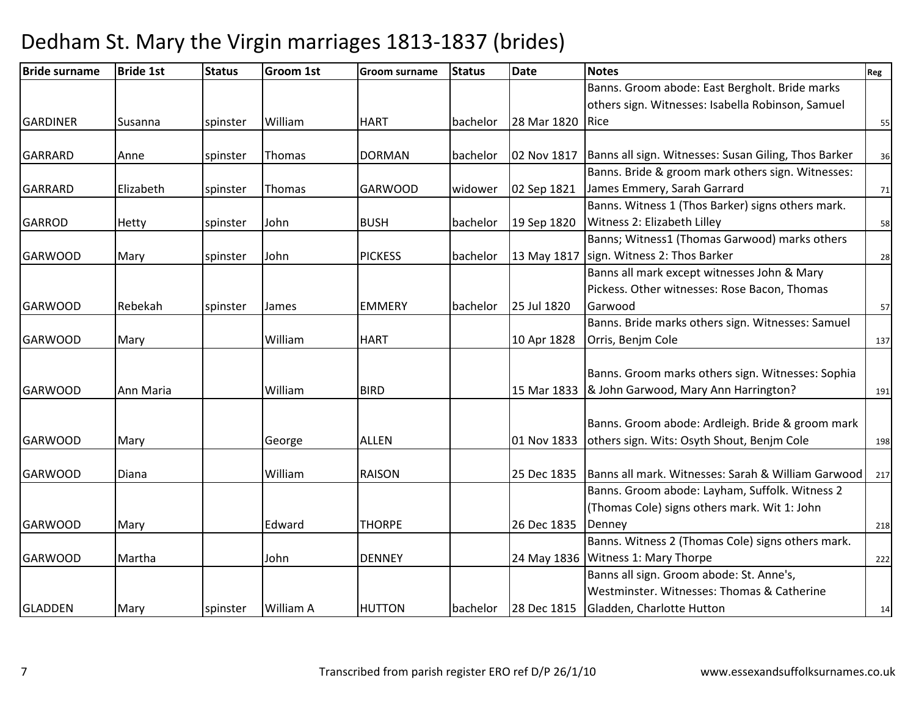| <b>Bride surname</b> | <b>Bride 1st</b> | <b>Status</b> | Groom 1st | <b>Groom surname</b> | <b>Status</b> | <b>Date</b> | <b>Notes</b>                                         | Reg |
|----------------------|------------------|---------------|-----------|----------------------|---------------|-------------|------------------------------------------------------|-----|
|                      |                  |               |           |                      |               |             | Banns. Groom abode: East Bergholt. Bride marks       |     |
|                      |                  |               |           |                      |               |             | others sign. Witnesses: Isabella Robinson, Samuel    |     |
| <b>GARDINER</b>      | Susanna          | spinster      | William   | <b>HART</b>          | bachelor      | 28 Mar 1820 | <b>Rice</b>                                          | 55  |
|                      |                  |               |           |                      |               |             |                                                      |     |
| <b>GARRARD</b>       | Anne             | spinster      | Thomas    | <b>DORMAN</b>        | bachelor      | 02 Nov 1817 | Banns all sign. Witnesses: Susan Giling, Thos Barker | 36  |
|                      |                  |               |           |                      |               |             | Banns. Bride & groom mark others sign. Witnesses:    |     |
| <b>GARRARD</b>       | Elizabeth        | spinster      | Thomas    | <b>GARWOOD</b>       | widower       | 02 Sep 1821 | James Emmery, Sarah Garrard                          | 71  |
|                      |                  |               |           |                      |               |             | Banns. Witness 1 (Thos Barker) signs others mark.    |     |
| <b>GARROD</b>        | <b>Hetty</b>     | spinster      | John      | <b>BUSH</b>          | bachelor      | 19 Sep 1820 | Witness 2: Elizabeth Lilley                          | 58  |
|                      |                  |               |           |                      |               |             | Banns; Witness1 (Thomas Garwood) marks others        |     |
| <b>GARWOOD</b>       | Mary             | spinster      | John      | <b>PICKESS</b>       | bachelor      | 13 May 1817 | sign. Witness 2: Thos Barker                         | 28  |
|                      |                  |               |           |                      |               |             | Banns all mark except witnesses John & Mary          |     |
|                      |                  |               |           |                      |               |             | Pickess. Other witnesses: Rose Bacon, Thomas         |     |
| <b>GARWOOD</b>       | Rebekah          | spinster      | James     | <b>EMMERY</b>        | bachelor      | 25 Jul 1820 | Garwood                                              | 57  |
|                      |                  |               |           |                      |               |             | Banns. Bride marks others sign. Witnesses: Samuel    |     |
| <b>GARWOOD</b>       | Mary             |               | William   | <b>HART</b>          |               | 10 Apr 1828 | Orris, Benjm Cole                                    | 137 |
|                      |                  |               |           |                      |               |             |                                                      |     |
|                      |                  |               |           |                      |               |             | Banns. Groom marks others sign. Witnesses: Sophia    |     |
| <b>GARWOOD</b>       | Ann Maria        |               | William   | <b>BIRD</b>          |               | 15 Mar 1833 | & John Garwood, Mary Ann Harrington?                 | 191 |
|                      |                  |               |           |                      |               |             |                                                      |     |
|                      |                  |               |           |                      |               |             | Banns. Groom abode: Ardleigh. Bride & groom mark     |     |
| <b>GARWOOD</b>       | Mary             |               | George    | <b>ALLEN</b>         |               | 01 Nov 1833 | others sign. Wits: Osyth Shout, Benjm Cole           | 198 |
|                      |                  |               |           |                      |               |             |                                                      |     |
| <b>GARWOOD</b>       | Diana            |               | William   | <b>RAISON</b>        |               | 25 Dec 1835 | Banns all mark. Witnesses: Sarah & William Garwood   | 217 |
|                      |                  |               |           |                      |               |             | Banns. Groom abode: Layham, Suffolk. Witness 2       |     |
|                      |                  |               |           |                      |               |             | (Thomas Cole) signs others mark. Wit 1: John         |     |
| <b>GARWOOD</b>       | Mary             |               | Edward    | <b>THORPE</b>        |               | 26 Dec 1835 | Denney                                               | 218 |
|                      |                  |               |           |                      |               |             | Banns. Witness 2 (Thomas Cole) signs others mark.    |     |
| <b>GARWOOD</b>       | Martha           |               | John      | <b>DENNEY</b>        |               | 24 May 1836 | Witness 1: Mary Thorpe                               | 222 |
|                      |                  |               |           |                      |               |             | Banns all sign. Groom abode: St. Anne's,             |     |
|                      |                  |               |           |                      |               |             | Westminster. Witnesses: Thomas & Catherine           |     |
| <b>GLADDEN</b>       | Mary             | spinster      | William A | <b>HUTTON</b>        | bachelor      | 28 Dec 1815 | Gladden, Charlotte Hutton                            | 14  |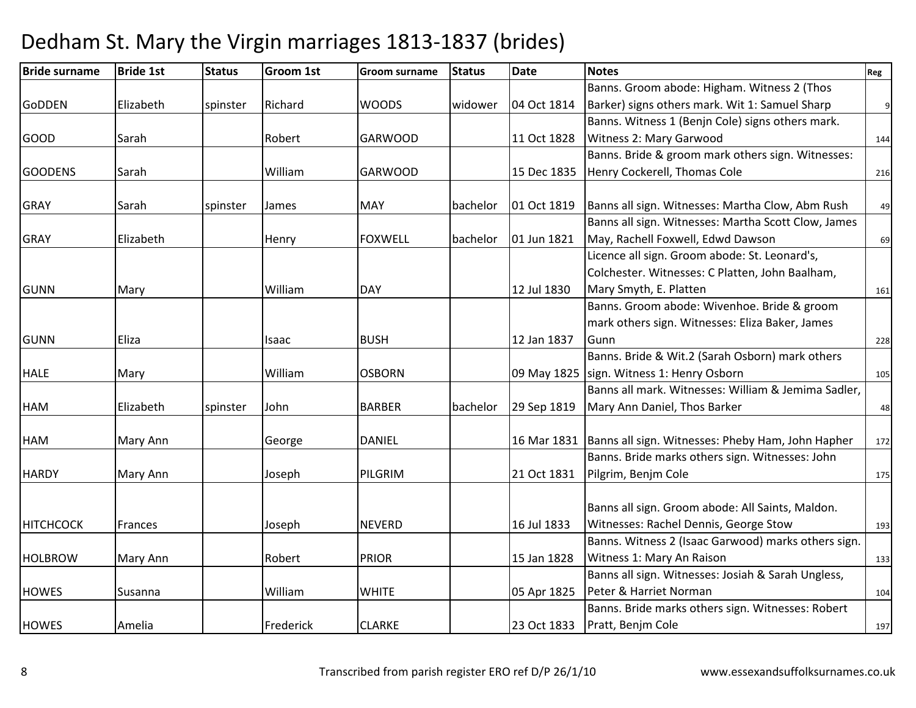| <b>Bride surname</b> | <b>Bride 1st</b> | <b>Status</b> | <b>Groom 1st</b> | <b>Groom surname</b> | <b>Status</b> | <b>Date</b> | <b>Notes</b>                                        | Reg |
|----------------------|------------------|---------------|------------------|----------------------|---------------|-------------|-----------------------------------------------------|-----|
|                      |                  |               |                  |                      |               |             | Banns. Groom abode: Higham. Witness 2 (Thos         |     |
| <b>GoDDEN</b>        | Elizabeth        | spinster      | Richard          | <b>WOODS</b>         | widower       | 04 Oct 1814 | Barker) signs others mark. Wit 1: Samuel Sharp      | 9   |
|                      |                  |               |                  |                      |               |             | Banns. Witness 1 (Benjn Cole) signs others mark.    |     |
| <b>GOOD</b>          | Sarah            |               | Robert           | <b>GARWOOD</b>       |               | 11 Oct 1828 | Witness 2: Mary Garwood                             | 144 |
|                      |                  |               |                  |                      |               |             | Banns. Bride & groom mark others sign. Witnesses:   |     |
| <b>GOODENS</b>       | Sarah            |               | William          | <b>GARWOOD</b>       |               | 15 Dec 1835 | Henry Cockerell, Thomas Cole                        | 216 |
| <b>GRAY</b>          | Sarah            | spinster      | <b>James</b>     | <b>MAY</b>           | bachelor      | 01 Oct 1819 | Banns all sign. Witnesses: Martha Clow, Abm Rush    | 49  |
|                      |                  |               |                  |                      |               |             | Banns all sign. Witnesses: Martha Scott Clow, James |     |
| <b>GRAY</b>          | Elizabeth        |               | Henry            | <b>FOXWELL</b>       | bachelor      | 01 Jun 1821 | May, Rachell Foxwell, Edwd Dawson                   | 69  |
|                      |                  |               |                  |                      |               |             | Licence all sign. Groom abode: St. Leonard's,       |     |
|                      |                  |               |                  |                      |               |             | Colchester. Witnesses: C Platten, John Baalham,     |     |
| <b>GUNN</b>          | Mary             |               | William          | <b>DAY</b>           |               | 12 Jul 1830 | Mary Smyth, E. Platten                              | 161 |
|                      |                  |               |                  |                      |               |             | Banns. Groom abode: Wivenhoe. Bride & groom         |     |
|                      |                  |               |                  |                      |               |             | mark others sign. Witnesses: Eliza Baker, James     |     |
| <b>GUNN</b>          | Eliza            |               | Isaac            | <b>BUSH</b>          |               | 12 Jan 1837 | Gunn                                                | 228 |
|                      |                  |               |                  |                      |               |             | Banns. Bride & Wit.2 (Sarah Osborn) mark others     |     |
| <b>HALE</b>          | Mary             |               | William          | <b>OSBORN</b>        |               | 09 May 1825 | sign. Witness 1: Henry Osborn                       | 105 |
|                      |                  |               |                  |                      |               |             | Banns all mark. Witnesses: William & Jemima Sadler, |     |
| <b>HAM</b>           | Elizabeth        | spinster      | John             | <b>BARBER</b>        | bachelor      | 29 Sep 1819 | Mary Ann Daniel, Thos Barker                        | 48  |
| HAM                  | Mary Ann         |               | George           | <b>DANIEL</b>        |               | 16 Mar 1831 | Banns all sign. Witnesses: Pheby Ham, John Hapher   | 172 |
|                      |                  |               |                  |                      |               |             | Banns. Bride marks others sign. Witnesses: John     |     |
| <b>HARDY</b>         | Mary Ann         |               | Joseph           | PILGRIM              |               | 21 Oct 1831 | Pilgrim, Benjm Cole                                 | 175 |
|                      |                  |               |                  |                      |               |             |                                                     |     |
|                      |                  |               |                  |                      |               |             | Banns all sign. Groom abode: All Saints, Maldon.    |     |
| <b>HITCHCOCK</b>     | Frances          |               | Joseph           | <b>NEVERD</b>        |               | 16 Jul 1833 | Witnesses: Rachel Dennis, George Stow               | 193 |
|                      |                  |               |                  |                      |               |             | Banns. Witness 2 (Isaac Garwood) marks others sign. |     |
| <b>HOLBROW</b>       | Mary Ann         |               | Robert           | <b>PRIOR</b>         |               | 15 Jan 1828 | Witness 1: Mary An Raison                           | 133 |
|                      |                  |               |                  |                      |               |             | Banns all sign. Witnesses: Josiah & Sarah Ungless,  |     |
| <b>HOWES</b>         | Susanna          |               | William          | <b>WHITE</b>         |               | 05 Apr 1825 | Peter & Harriet Norman                              | 104 |
|                      |                  |               |                  |                      |               |             | Banns. Bride marks others sign. Witnesses: Robert   |     |
| <b>HOWES</b>         | Amelia           |               | Frederick        | <b>CLARKE</b>        |               | 23 Oct 1833 | Pratt, Benjm Cole                                   | 197 |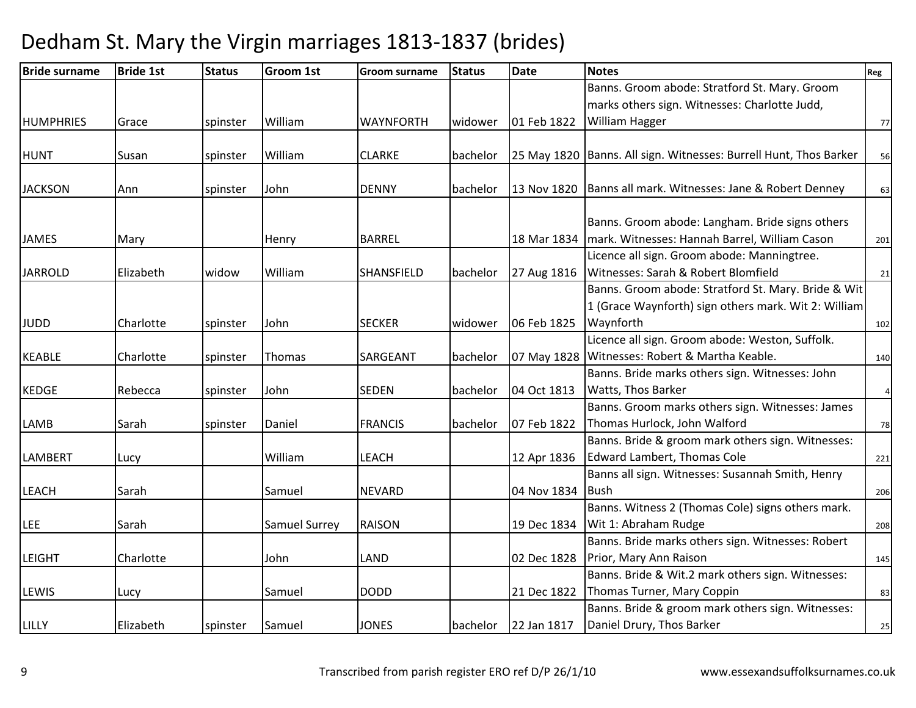| <b>Bride surname</b> | <b>Bride 1st</b> | <b>Status</b> | <b>Groom 1st</b>     | <b>Groom surname</b> | <b>Status</b> | <b>Date</b> | <b>Notes</b>                                                        | Reg                     |
|----------------------|------------------|---------------|----------------------|----------------------|---------------|-------------|---------------------------------------------------------------------|-------------------------|
|                      |                  |               |                      |                      |               |             | Banns. Groom abode: Stratford St. Mary. Groom                       |                         |
|                      |                  |               |                      |                      |               |             | marks others sign. Witnesses: Charlotte Judd,                       |                         |
| <b>HUMPHRIES</b>     | Grace            | spinster      | William              | <b>WAYNFORTH</b>     | widower       | 01 Feb 1822 | William Hagger                                                      | 77                      |
|                      |                  |               |                      |                      |               |             |                                                                     |                         |
| <b>HUNT</b>          | Susan            | spinster      | William              | <b>CLARKE</b>        | bachelor      |             | 25 May 1820   Banns. All sign. Witnesses: Burrell Hunt, Thos Barker | 56                      |
| <b>JACKSON</b>       | Ann              | spinster      | John                 | <b>DENNY</b>         | bachelor      |             | 13 Nov 1820   Banns all mark. Witnesses: Jane & Robert Denney       | 63                      |
|                      |                  |               |                      |                      |               |             | Banns. Groom abode: Langham. Bride signs others                     |                         |
| <b>JAMES</b>         | Mary             |               | Henry                | <b>BARREL</b>        |               | 18 Mar 1834 | mark. Witnesses: Hannah Barrel, William Cason                       | 201                     |
|                      |                  |               |                      |                      |               |             | Licence all sign. Groom abode: Manningtree.                         |                         |
| <b>JARROLD</b>       | Elizabeth        | widow         | William              | SHANSFIELD           | bachelor      | 27 Aug 1816 | Witnesses: Sarah & Robert Blomfield                                 | 21                      |
|                      |                  |               |                      |                      |               |             | Banns. Groom abode: Stratford St. Mary. Bride & Wit                 |                         |
|                      |                  |               |                      |                      |               |             | 1 (Grace Waynforth) sign others mark. Wit 2: William                |                         |
| <b>JUDD</b>          | Charlotte        | spinster      | John                 | <b>SECKER</b>        | widower       | 06 Feb 1825 | Waynforth                                                           | 102                     |
|                      |                  |               |                      |                      |               |             | Licence all sign. Groom abode: Weston, Suffolk.                     |                         |
| <b>KEABLE</b>        | Charlotte        | spinster      | <b>Thomas</b>        | SARGEANT             | bachelor      | 07 May 1828 | Witnesses: Robert & Martha Keable.                                  | 140                     |
|                      |                  |               |                      |                      |               |             | Banns. Bride marks others sign. Witnesses: John                     |                         |
| <b>KEDGE</b>         | Rebecca          | spinster      | John                 | <b>SEDEN</b>         | bachelor      | 04 Oct 1813 | <b>Watts, Thos Barker</b>                                           | $\overline{\mathbf{r}}$ |
|                      |                  |               |                      |                      |               |             | Banns. Groom marks others sign. Witnesses: James                    |                         |
| LAMB                 | Sarah            | spinster      | Daniel               | <b>FRANCIS</b>       | bachelor      | 07 Feb 1822 | Thomas Hurlock, John Walford                                        | 78                      |
|                      |                  |               |                      |                      |               |             | Banns. Bride & groom mark others sign. Witnesses:                   |                         |
| <b>LAMBERT</b>       | Lucy             |               | William              | <b>LEACH</b>         |               | 12 Apr 1836 | Edward Lambert, Thomas Cole                                         | 221                     |
|                      |                  |               |                      |                      |               |             | Banns all sign. Witnesses: Susannah Smith, Henry                    |                         |
| LEACH                | Sarah            |               | Samuel               | <b>NEVARD</b>        |               | 04 Nov 1834 | <b>Bush</b>                                                         | 206                     |
|                      |                  |               |                      |                      |               |             | Banns. Witness 2 (Thomas Cole) signs others mark.                   |                         |
| <b>LEE</b>           | Sarah            |               | <b>Samuel Surrey</b> | <b>RAISON</b>        |               | 19 Dec 1834 | Wit 1: Abraham Rudge                                                | 208                     |
|                      |                  |               |                      |                      |               |             | Banns. Bride marks others sign. Witnesses: Robert                   |                         |
| <b>LEIGHT</b>        | Charlotte        |               | John                 | LAND                 |               | 02 Dec 1828 | Prior, Mary Ann Raison                                              | 145                     |
|                      |                  |               |                      |                      |               |             | Banns. Bride & Wit.2 mark others sign. Witnesses:                   |                         |
| LEWIS                | Lucy             |               | Samuel               | <b>DODD</b>          |               | 21 Dec 1822 | Thomas Turner, Mary Coppin                                          | 83                      |
|                      |                  |               |                      |                      |               |             | Banns. Bride & groom mark others sign. Witnesses:                   |                         |
| LILLY                | Elizabeth        | spinster      | Samuel               | <b>JONES</b>         | bachelor      | 22 Jan 1817 | Daniel Drury, Thos Barker                                           | 25                      |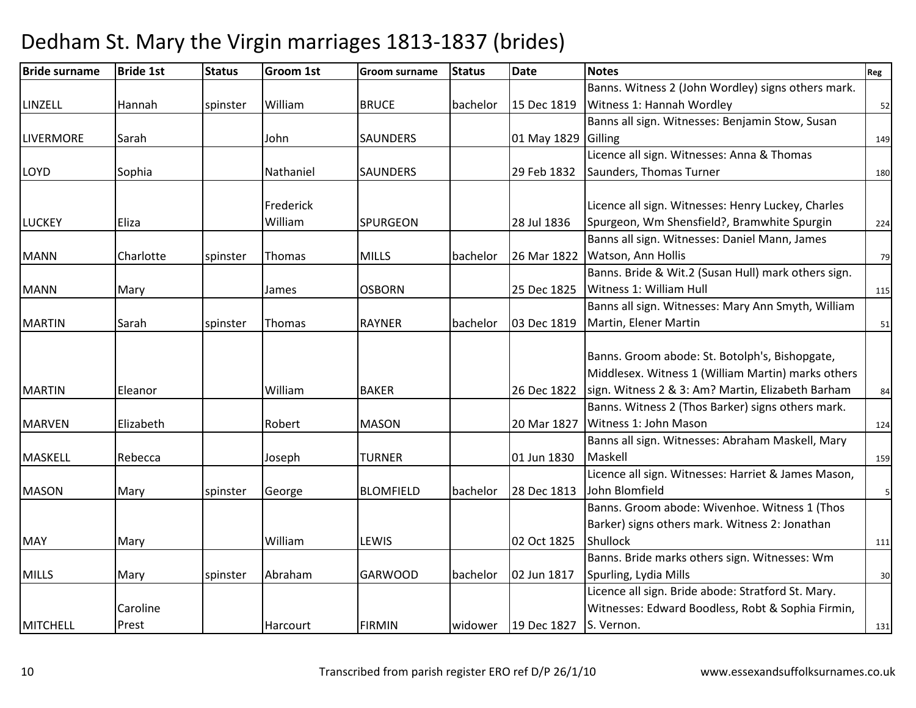| <b>Bride surname</b> | <b>Bride 1st</b> | <b>Status</b> | <b>Groom 1st</b> | <b>Groom surname</b> | <b>Status</b> | <b>Date</b> | <b>Notes</b>                                        | Reg |
|----------------------|------------------|---------------|------------------|----------------------|---------------|-------------|-----------------------------------------------------|-----|
|                      |                  |               |                  |                      |               |             | Banns. Witness 2 (John Wordley) signs others mark.  |     |
| LINZELL              | Hannah           | spinster      | William          | <b>BRUCE</b>         | bachelor      | 15 Dec 1819 | Witness 1: Hannah Wordley                           | 52  |
|                      |                  |               |                  |                      |               |             | Banns all sign. Witnesses: Benjamin Stow, Susan     |     |
| <b>LIVERMORE</b>     | Sarah            |               | John             | SAUNDERS             |               | 01 May 1829 | Gilling                                             | 149 |
|                      |                  |               |                  |                      |               |             | Licence all sign. Witnesses: Anna & Thomas          |     |
| <b>LOYD</b>          | Sophia           |               | Nathaniel        | <b>SAUNDERS</b>      |               | 29 Feb 1832 | Saunders, Thomas Turner                             | 180 |
|                      |                  |               |                  |                      |               |             |                                                     |     |
|                      |                  |               | Frederick        |                      |               |             | Licence all sign. Witnesses: Henry Luckey, Charles  |     |
| <b>LUCKEY</b>        | Eliza            |               | William          | SPURGEON             |               | 28 Jul 1836 | Spurgeon, Wm Shensfield?, Bramwhite Spurgin         | 224 |
|                      |                  |               |                  |                      |               |             | Banns all sign. Witnesses: Daniel Mann, James       |     |
| <b>MANN</b>          | Charlotte        | spinster      | <b>Thomas</b>    | <b>MILLS</b>         | bachelor      | 26 Mar 1822 | Watson, Ann Hollis                                  | 79  |
|                      |                  |               |                  |                      |               |             | Banns. Bride & Wit.2 (Susan Hull) mark others sign. |     |
| <b>MANN</b>          | Mary             |               | James            | <b>OSBORN</b>        |               | 25 Dec 1825 | Witness 1: William Hull                             | 115 |
|                      |                  |               |                  |                      |               |             | Banns all sign. Witnesses: Mary Ann Smyth, William  |     |
| <b>MARTIN</b>        | Sarah            | spinster      | Thomas           | <b>RAYNER</b>        | bachelor      | 03 Dec 1819 | Martin, Elener Martin                               | 51  |
|                      |                  |               |                  |                      |               |             |                                                     |     |
|                      |                  |               |                  |                      |               |             | Banns. Groom abode: St. Botolph's, Bishopgate,      |     |
|                      |                  |               |                  |                      |               |             | Middlesex. Witness 1 (William Martin) marks others  |     |
| <b>MARTIN</b>        | Eleanor          |               | William          | <b>BAKER</b>         |               | 26 Dec 1822 | sign. Witness 2 & 3: Am? Martin, Elizabeth Barham   | 84  |
|                      |                  |               |                  |                      |               |             | Banns. Witness 2 (Thos Barker) signs others mark.   |     |
| <b>MARVEN</b>        | Elizabeth        |               | Robert           | <b>MASON</b>         |               | 20 Mar 1827 | Witness 1: John Mason                               | 124 |
|                      |                  |               |                  |                      |               |             | Banns all sign. Witnesses: Abraham Maskell, Mary    |     |
| <b>MASKELL</b>       | Rebecca          |               | Joseph           | <b>TURNER</b>        |               | 01 Jun 1830 | Maskell                                             | 159 |
|                      |                  |               |                  |                      |               |             | Licence all sign. Witnesses: Harriet & James Mason, |     |
| <b>MASON</b>         | Mary             | spinster      | George           | <b>BLOMFIELD</b>     | bachelor      | 28 Dec 1813 | John Blomfield                                      | 5   |
|                      |                  |               |                  |                      |               |             | Banns. Groom abode: Wivenhoe. Witness 1 (Thos       |     |
|                      |                  |               |                  |                      |               |             | Barker) signs others mark. Witness 2: Jonathan      |     |
| <b>MAY</b>           | Mary             |               | William          | LEWIS                |               | 02 Oct 1825 | Shullock                                            | 111 |
|                      |                  |               |                  |                      |               |             | Banns. Bride marks others sign. Witnesses: Wm       |     |
| <b>MILLS</b>         | Mary             | spinster      | Abraham          | <b>GARWOOD</b>       | bachelor      | 02 Jun 1817 | Spurling, Lydia Mills                               | 30  |
|                      |                  |               |                  |                      |               |             | Licence all sign. Bride abode: Stratford St. Mary.  |     |
|                      | Caroline         |               |                  |                      |               |             | Witnesses: Edward Boodless, Robt & Sophia Firmin,   |     |
| MITCHELL             | Prest            |               | Harcourt         | <b>FIRMIN</b>        | lwidower      | 19 Dec 1827 | S. Vernon.                                          | 131 |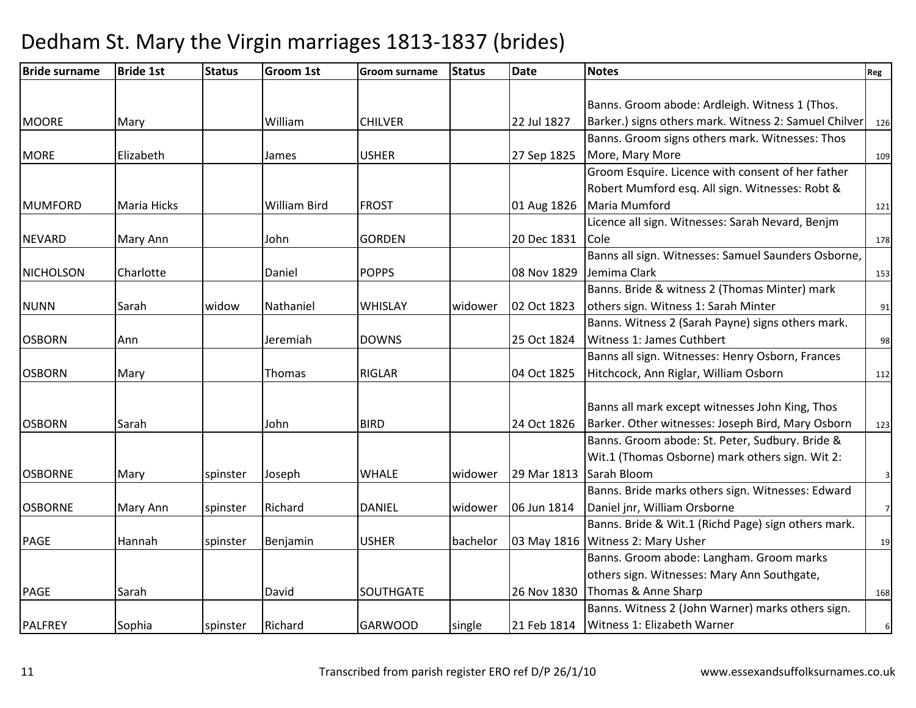| <b>Bride surname</b> | <b>Bride 1st</b>   | <b>Status</b> | <b>Groom 1st</b> | <b>Groom surname</b> | <b>Status</b> | <b>Date</b> | <b>Notes</b>                                              | Reg                     |
|----------------------|--------------------|---------------|------------------|----------------------|---------------|-------------|-----------------------------------------------------------|-------------------------|
|                      |                    |               |                  |                      |               |             |                                                           |                         |
|                      |                    |               |                  |                      |               |             | Banns. Groom abode: Ardleigh. Witness 1 (Thos.            |                         |
| <b>MOORE</b>         | Mary               |               | William          | <b>CHILVER</b>       |               | 22 Jul 1827 | Barker.) signs others mark. Witness 2: Samuel Chilver 126 |                         |
|                      |                    |               |                  |                      |               |             | Banns. Groom signs others mark. Witnesses: Thos           |                         |
| <b>MORE</b>          | Elizabeth          |               | James            | <b>USHER</b>         |               | 27 Sep 1825 | More, Mary More                                           | 109                     |
|                      |                    |               |                  |                      |               |             | Groom Esquire. Licence with consent of her father         |                         |
|                      |                    |               |                  |                      |               |             | Robert Mumford esq. All sign. Witnesses: Robt &           |                         |
| MUMFORD              | <b>Maria Hicks</b> |               | William Bird     | <b>FROST</b>         |               | 01 Aug 1826 | Maria Mumford                                             | 121                     |
|                      |                    |               |                  |                      |               |             | Licence all sign. Witnesses: Sarah Nevard, Benjm          |                         |
| INEVARD              | Mary Ann           |               | John             | <b>GORDEN</b>        |               | 20 Dec 1831 | Cole                                                      | 178                     |
|                      |                    |               |                  |                      |               |             | Banns all sign. Witnesses: Samuel Saunders Osborne,       |                         |
| <b>NICHOLSON</b>     | Charlotte          |               | Daniel           | <b>POPPS</b>         |               | 08 Nov 1829 | Jemima Clark                                              | 153                     |
|                      |                    |               |                  |                      |               |             | Banns. Bride & witness 2 (Thomas Minter) mark             |                         |
| <b>NUNN</b>          | Sarah              | widow         | Nathaniel        | <b>WHISLAY</b>       | widower       | 02 Oct 1823 | others sign. Witness 1: Sarah Minter                      | 91                      |
|                      |                    |               |                  |                      |               |             | Banns. Witness 2 (Sarah Payne) signs others mark.         |                         |
| <b>OSBORN</b>        | Ann                |               | Jeremiah         | <b>DOWNS</b>         |               | 25 Oct 1824 | Witness 1: James Cuthbert                                 | 98                      |
|                      |                    |               |                  |                      |               |             | Banns all sign. Witnesses: Henry Osborn, Frances          |                         |
| <b>OSBORN</b>        | Mary               |               | Thomas           | <b>RIGLAR</b>        |               | 04 Oct 1825 | Hitchcock, Ann Riglar, William Osborn                     | 112                     |
|                      |                    |               |                  |                      |               |             |                                                           |                         |
|                      |                    |               |                  |                      |               |             | Banns all mark except witnesses John King, Thos           |                         |
| <b>OSBORN</b>        | Sarah              |               | John             | <b>BIRD</b>          |               | 24 Oct 1826 | Barker. Other witnesses: Joseph Bird, Mary Osborn         | 123                     |
|                      |                    |               |                  |                      |               |             | Banns. Groom abode: St. Peter, Sudbury. Bride &           |                         |
|                      |                    |               |                  |                      |               |             | Wit.1 (Thomas Osborne) mark others sign. Wit 2:           |                         |
| <b>OSBORNE</b>       | Mary               | spinster      | Joseph           | <b>WHALE</b>         | widower       | 29 Mar 1813 | Sarah Bloom                                               | $\overline{\mathbf{3}}$ |
|                      |                    |               |                  |                      |               |             | Banns. Bride marks others sign. Witnesses: Edward         |                         |
| <b>OSBORNE</b>       | Mary Ann           | spinster      | Richard          | <b>DANIEL</b>        | widower       | 06 Jun 1814 | Daniel jnr, William Orsborne                              | $\overline{7}$          |
|                      |                    |               |                  |                      |               |             | Banns. Bride & Wit.1 (Richd Page) sign others mark.       |                         |
| <b>PAGE</b>          | Hannah             | spinster      | Benjamin         | <b>USHER</b>         | bachelor      | 03 May 1816 | Witness 2: Mary Usher                                     | 19                      |
|                      |                    |               |                  |                      |               |             | Banns. Groom abode: Langham. Groom marks                  |                         |
|                      |                    |               |                  |                      |               |             | others sign. Witnesses: Mary Ann Southgate,               |                         |
| <b>PAGE</b>          | Sarah              |               | David            | <b>SOUTHGATE</b>     |               | 26 Nov 1830 | Thomas & Anne Sharp                                       | 168                     |
|                      |                    |               |                  |                      |               |             | Banns. Witness 2 (John Warner) marks others sign.         |                         |
| <b>PALFREY</b>       | Sophia             | spinster      | Richard          | <b>GARWOOD</b>       | single        | 21 Feb 1814 | Witness 1: Elizabeth Warner                               | 6                       |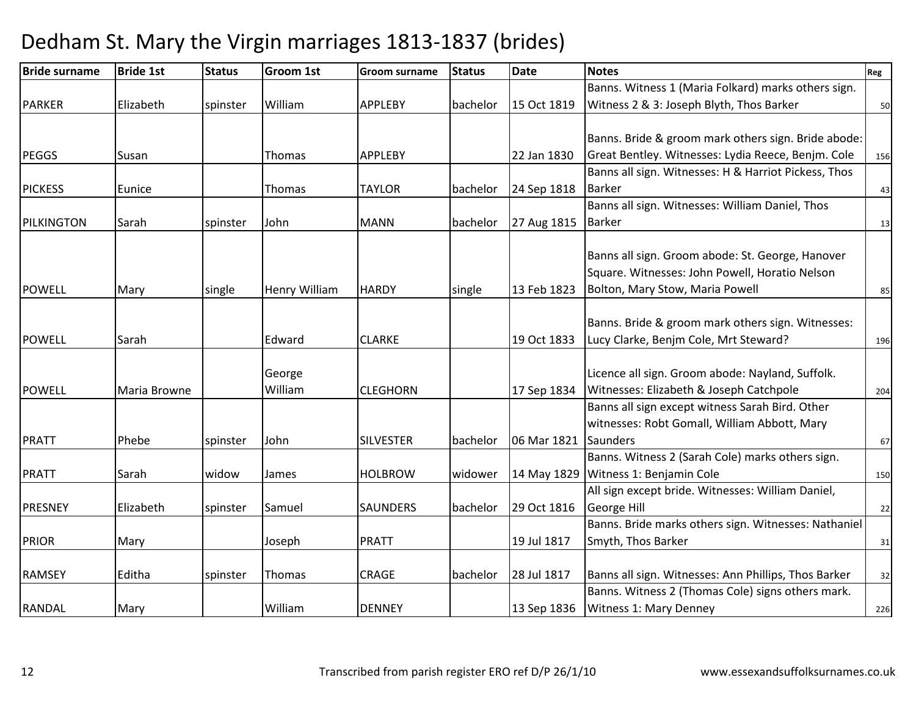| <b>Bride surname</b> | <b>Bride 1st</b> | <b>Status</b> | Groom 1st            | <b>Groom surname</b> | <b>Status</b> | <b>Date</b> | <b>Notes</b>                                         | Reg |
|----------------------|------------------|---------------|----------------------|----------------------|---------------|-------------|------------------------------------------------------|-----|
|                      |                  |               |                      |                      |               |             | Banns. Witness 1 (Maria Folkard) marks others sign.  |     |
| <b>PARKER</b>        | Elizabeth        | spinster      | William              | <b>APPLEBY</b>       | bachelor      | 15 Oct 1819 | Witness 2 & 3: Joseph Blyth, Thos Barker             | 50  |
|                      |                  |               |                      |                      |               |             |                                                      |     |
|                      |                  |               |                      |                      |               |             | Banns. Bride & groom mark others sign. Bride abode:  |     |
| <b>PEGGS</b>         | Susan            |               | <b>Thomas</b>        | <b>APPLEBY</b>       |               | 22 Jan 1830 | Great Bentley. Witnesses: Lydia Reece, Benjm. Cole   | 156 |
|                      |                  |               |                      |                      |               |             | Banns all sign. Witnesses: H & Harriot Pickess, Thos |     |
| <b>PICKESS</b>       | Eunice           |               | Thomas               | <b>TAYLOR</b>        | bachelor      | 24 Sep 1818 | <b>Barker</b>                                        | 43  |
|                      |                  |               |                      |                      |               |             | Banns all sign. Witnesses: William Daniel, Thos      |     |
| PILKINGTON           | Sarah            | spinster      | John                 | <b>MANN</b>          | bachelor      | 27 Aug 1815 | <b>Barker</b>                                        | 13  |
|                      |                  |               |                      |                      |               |             |                                                      |     |
|                      |                  |               |                      |                      |               |             | Banns all sign. Groom abode: St. George, Hanover     |     |
|                      |                  |               |                      |                      |               |             | Square. Witnesses: John Powell, Horatio Nelson       |     |
| <b>POWELL</b>        | Mary             | single        | <b>Henry William</b> | <b>HARDY</b>         | single        | 13 Feb 1823 | Bolton, Mary Stow, Maria Powell                      | 85  |
|                      |                  |               |                      |                      |               |             |                                                      |     |
|                      |                  |               |                      |                      |               |             | Banns. Bride & groom mark others sign. Witnesses:    |     |
| <b>POWELL</b>        | Sarah            |               | Edward               | <b>CLARKE</b>        |               | 19 Oct 1833 | Lucy Clarke, Benjm Cole, Mrt Steward?                | 196 |
|                      |                  |               |                      |                      |               |             |                                                      |     |
|                      |                  |               | George               |                      |               |             | Licence all sign. Groom abode: Nayland, Suffolk.     |     |
| <b>POWELL</b>        | Maria Browne     |               | William              | <b>CLEGHORN</b>      |               | 17 Sep 1834 | Witnesses: Elizabeth & Joseph Catchpole              | 204 |
|                      |                  |               |                      |                      |               |             | Banns all sign except witness Sarah Bird. Other      |     |
|                      |                  |               |                      |                      |               |             | witnesses: Robt Gomall, William Abbott, Mary         |     |
| <b>PRATT</b>         | Phebe            | spinster      | John                 | <b>SILVESTER</b>     | bachelor      | 06 Mar 1821 | Saunders                                             | 67  |
|                      |                  |               |                      |                      |               |             | Banns. Witness 2 (Sarah Cole) marks others sign.     |     |
| <b>PRATT</b>         | Sarah            | widow         | James                | <b>HOLBROW</b>       | widower       | 14 May 1829 | Witness 1: Benjamin Cole                             | 150 |
|                      |                  |               |                      |                      |               |             | All sign except bride. Witnesses: William Daniel,    |     |
| <b>PRESNEY</b>       | Elizabeth        | spinster      | Samuel               | <b>SAUNDERS</b>      | bachelor      | 29 Oct 1816 | George Hill                                          | 22  |
|                      |                  |               |                      |                      |               |             | Banns. Bride marks others sign. Witnesses: Nathaniel |     |
| <b>PRIOR</b>         | Mary             |               | Joseph               | <b>PRATT</b>         |               | 19 Jul 1817 | Smyth, Thos Barker                                   | 31  |
|                      |                  |               |                      |                      |               |             |                                                      |     |
| <b>RAMSEY</b>        | Editha           | spinster      | Thomas               | <b>CRAGE</b>         | bachelor      | 28 Jul 1817 | Banns all sign. Witnesses: Ann Phillips, Thos Barker | 32  |
|                      |                  |               |                      |                      |               |             | Banns. Witness 2 (Thomas Cole) signs others mark.    |     |
| <b>RANDAL</b>        | Mary             |               | William              | <b>DENNEY</b>        |               | 13 Sep 1836 | <b>Witness 1: Mary Denney</b>                        | 226 |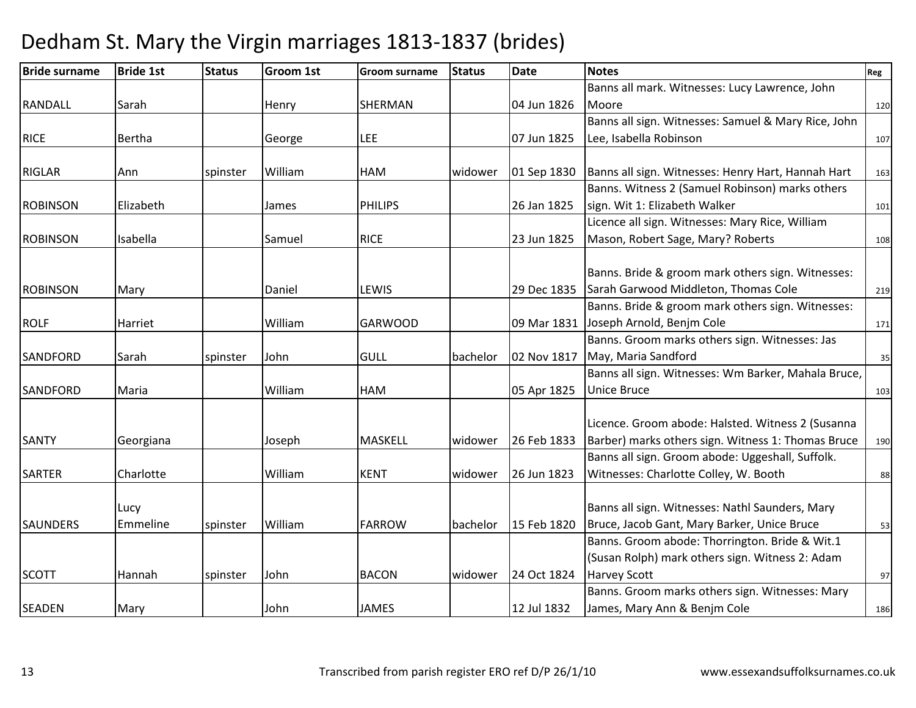| <b>Bride surname</b> | <b>Bride 1st</b> | <b>Status</b> | <b>Groom 1st</b> | <b>Groom surname</b> | <b>Status</b> | <b>Date</b> | <b>Notes</b>                                        | Reg |
|----------------------|------------------|---------------|------------------|----------------------|---------------|-------------|-----------------------------------------------------|-----|
|                      |                  |               |                  |                      |               |             | Banns all mark. Witnesses: Lucy Lawrence, John      |     |
| <b>RANDALL</b>       | Sarah            |               | Henry            | <b>SHERMAN</b>       |               | 04 Jun 1826 | Moore                                               | 120 |
|                      |                  |               |                  |                      |               |             | Banns all sign. Witnesses: Samuel & Mary Rice, John |     |
| <b>RICE</b>          | Bertha           |               | George           | <b>LEE</b>           |               | 07 Jun 1825 | Lee, Isabella Robinson                              | 107 |
|                      |                  |               |                  |                      |               |             |                                                     |     |
| <b>RIGLAR</b>        | Ann              | spinster      | William          | <b>HAM</b>           | widower       | 01 Sep 1830 | Banns all sign. Witnesses: Henry Hart, Hannah Hart  | 163 |
|                      |                  |               |                  |                      |               |             | Banns. Witness 2 (Samuel Robinson) marks others     |     |
| <b>ROBINSON</b>      | Elizabeth        |               | James            | <b>PHILIPS</b>       |               | 26 Jan 1825 | sign. Wit 1: Elizabeth Walker                       | 101 |
|                      |                  |               |                  |                      |               |             | Licence all sign. Witnesses: Mary Rice, William     |     |
| <b>ROBINSON</b>      | Isabella         |               | Samuel           | <b>RICE</b>          |               | 23 Jun 1825 | Mason, Robert Sage, Mary? Roberts                   | 108 |
|                      |                  |               |                  |                      |               |             |                                                     |     |
|                      |                  |               |                  |                      |               |             | Banns. Bride & groom mark others sign. Witnesses:   |     |
| <b>ROBINSON</b>      | Mary             |               | Daniel           | LEWIS                |               | 29 Dec 1835 | Sarah Garwood Middleton, Thomas Cole                | 219 |
|                      |                  |               |                  |                      |               |             | Banns. Bride & groom mark others sign. Witnesses:   |     |
| <b>ROLF</b>          | Harriet          |               | William          | <b>GARWOOD</b>       |               | 09 Mar 1831 | Joseph Arnold, Benjm Cole                           | 171 |
|                      |                  |               |                  |                      |               |             | Banns. Groom marks others sign. Witnesses: Jas      |     |
| SANDFORD             | Sarah            | spinster      | John             | <b>GULL</b>          | bachelor      | 02 Nov 1817 | May, Maria Sandford                                 | 35  |
|                      |                  |               |                  |                      |               |             | Banns all sign. Witnesses: Wm Barker, Mahala Bruce, |     |
| SANDFORD             | Maria            |               | William          | <b>HAM</b>           |               | 05 Apr 1825 | <b>Unice Bruce</b>                                  | 103 |
|                      |                  |               |                  |                      |               |             |                                                     |     |
|                      |                  |               |                  |                      |               |             | Licence. Groom abode: Halsted. Witness 2 (Susanna   |     |
| <b>SANTY</b>         | Georgiana        |               | Joseph           | <b>MASKELL</b>       | widower       | 26 Feb 1833 | Barber) marks others sign. Witness 1: Thomas Bruce  | 190 |
|                      |                  |               |                  |                      |               |             | Banns all sign. Groom abode: Uggeshall, Suffolk.    |     |
| <b>SARTER</b>        | Charlotte        |               | William          | <b>KENT</b>          | widower       | 26 Jun 1823 | Witnesses: Charlotte Colley, W. Booth               | 88  |
|                      |                  |               |                  |                      |               |             |                                                     |     |
|                      | Lucy             |               |                  |                      |               |             | Banns all sign. Witnesses: Nathl Saunders, Mary     |     |
| <b>SAUNDERS</b>      | Emmeline         | spinster      | William          | <b>FARROW</b>        | bachelor      | 15 Feb 1820 | Bruce, Jacob Gant, Mary Barker, Unice Bruce         | 53  |
|                      |                  |               |                  |                      |               |             | Banns. Groom abode: Thorrington. Bride & Wit.1      |     |
|                      |                  |               |                  |                      |               |             | (Susan Rolph) mark others sign. Witness 2: Adam     |     |
| <b>SCOTT</b>         | Hannah           | spinster      | John             | <b>BACON</b>         | widower       | 24 Oct 1824 | <b>Harvey Scott</b>                                 | 97  |
|                      |                  |               |                  |                      |               |             | Banns. Groom marks others sign. Witnesses: Mary     |     |
| <b>SEADEN</b>        | Mary             |               | John             | <b>JAMES</b>         |               | 12 Jul 1832 | James, Mary Ann & Benjm Cole                        | 186 |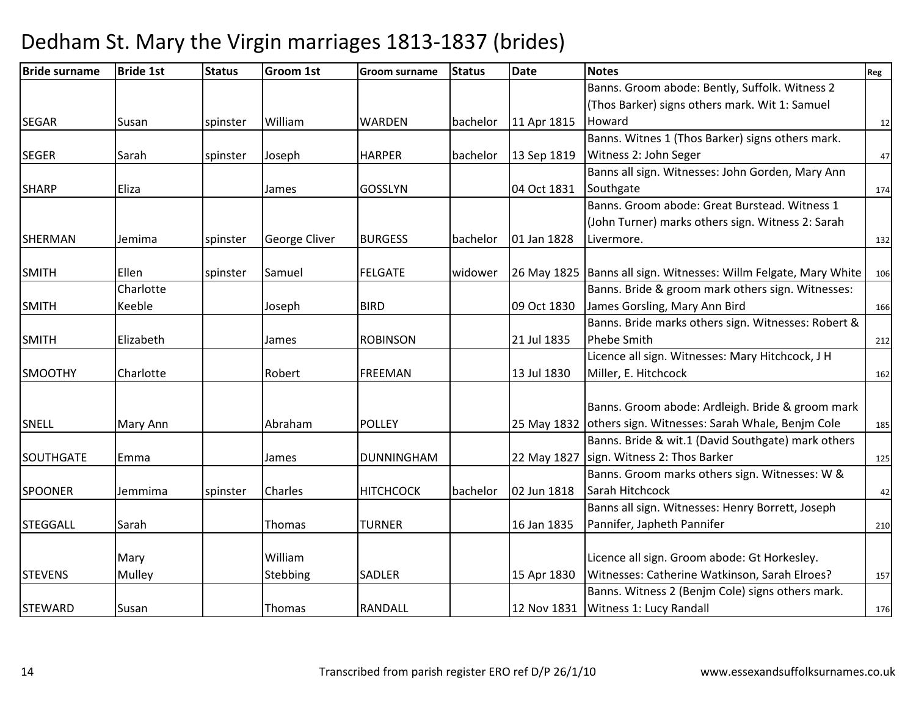| <b>Bride surname</b> | <b>Bride 1st</b> | <b>Status</b> | <b>Groom 1st</b>     | <b>Groom surname</b> | <b>Status</b> | <b>Date</b> | <b>Notes</b>                                                       | Reg |
|----------------------|------------------|---------------|----------------------|----------------------|---------------|-------------|--------------------------------------------------------------------|-----|
|                      |                  |               |                      |                      |               |             | Banns. Groom abode: Bently, Suffolk. Witness 2                     |     |
|                      |                  |               |                      |                      |               |             | (Thos Barker) signs others mark. Wit 1: Samuel                     |     |
| <b>SEGAR</b>         | Susan            | spinster      | William              | <b>WARDEN</b>        | bachelor      | 11 Apr 1815 | Howard                                                             | 12  |
|                      |                  |               |                      |                      |               |             | Banns. Witnes 1 (Thos Barker) signs others mark.                   |     |
| <b>SEGER</b>         | Sarah            | spinster      | Joseph               | <b>HARPER</b>        | bachelor      | 13 Sep 1819 | Witness 2: John Seger                                              | 47  |
|                      |                  |               |                      |                      |               |             | Banns all sign. Witnesses: John Gorden, Mary Ann                   |     |
| <b>SHARP</b>         | Eliza            |               | James                | <b>GOSSLYN</b>       |               | 04 Oct 1831 | Southgate                                                          | 174 |
|                      |                  |               |                      |                      |               |             | Banns. Groom abode: Great Burstead. Witness 1                      |     |
|                      |                  |               |                      |                      |               |             | (John Turner) marks others sign. Witness 2: Sarah                  |     |
| <b>SHERMAN</b>       | Jemima           | spinster      | <b>George Cliver</b> | <b>BURGESS</b>       | bachelor      | 01 Jan 1828 | Livermore.                                                         | 132 |
|                      |                  |               |                      |                      |               |             |                                                                    |     |
| <b>SMITH</b>         | Ellen            | spinster      | Samuel               | <b>FELGATE</b>       | widower       |             | 26 May 1825   Banns all sign. Witnesses: Willm Felgate, Mary White | 106 |
|                      | Charlotte        |               |                      |                      |               |             | Banns. Bride & groom mark others sign. Witnesses:                  |     |
| <b>SMITH</b>         | Keeble           |               | Joseph               | <b>BIRD</b>          |               | 09 Oct 1830 | James Gorsling, Mary Ann Bird                                      | 166 |
|                      |                  |               |                      |                      |               |             | Banns. Bride marks others sign. Witnesses: Robert &                |     |
| <b>SMITH</b>         | Elizabeth        |               | James                | <b>ROBINSON</b>      |               | 21 Jul 1835 | <b>Phebe Smith</b>                                                 | 212 |
|                      |                  |               |                      |                      |               |             | Licence all sign. Witnesses: Mary Hitchcock, J H                   |     |
| <b>SMOOTHY</b>       | Charlotte        |               | Robert               | <b>FREEMAN</b>       |               | 13 Jul 1830 | Miller, E. Hitchcock                                               | 162 |
|                      |                  |               |                      |                      |               |             |                                                                    |     |
|                      |                  |               |                      |                      |               |             | Banns. Groom abode: Ardleigh. Bride & groom mark                   |     |
| <b>SNELL</b>         | Mary Ann         |               | Abraham              | <b>POLLEY</b>        |               |             | 25 May 1832 others sign. Witnesses: Sarah Whale, Benjm Cole        | 185 |
|                      |                  |               |                      |                      |               |             | Banns. Bride & wit.1 (David Southgate) mark others                 |     |
| SOUTHGATE            | Emma             |               | James                | <b>DUNNINGHAM</b>    |               | 22 May 1827 | sign. Witness 2: Thos Barker                                       | 125 |
|                      |                  |               |                      |                      |               |             | Banns. Groom marks others sign. Witnesses: W &                     |     |
| <b>SPOONER</b>       | Jemmima          | spinster      | Charles              | <b>HITCHCOCK</b>     | bachelor      | 02 Jun 1818 | Sarah Hitchcock                                                    | 42  |
|                      |                  |               |                      |                      |               |             | Banns all sign. Witnesses: Henry Borrett, Joseph                   |     |
| <b>STEGGALL</b>      | Sarah            |               | Thomas               | <b>TURNER</b>        |               | 16 Jan 1835 | Pannifer, Japheth Pannifer                                         | 210 |
|                      |                  |               |                      |                      |               |             |                                                                    |     |
|                      | Mary             |               | William              |                      |               |             | Licence all sign. Groom abode: Gt Horkesley.                       |     |
| <b>STEVENS</b>       | Mulley           |               | Stebbing             | <b>SADLER</b>        |               | 15 Apr 1830 | Witnesses: Catherine Watkinson, Sarah Elroes?                      | 157 |
|                      |                  |               |                      |                      |               |             | Banns. Witness 2 (Benjm Cole) signs others mark.                   |     |
| <b>STEWARD</b>       | Susan            |               | Thomas               | <b>RANDALL</b>       |               |             | 12 Nov 1831   Witness 1: Lucy Randall                              | 176 |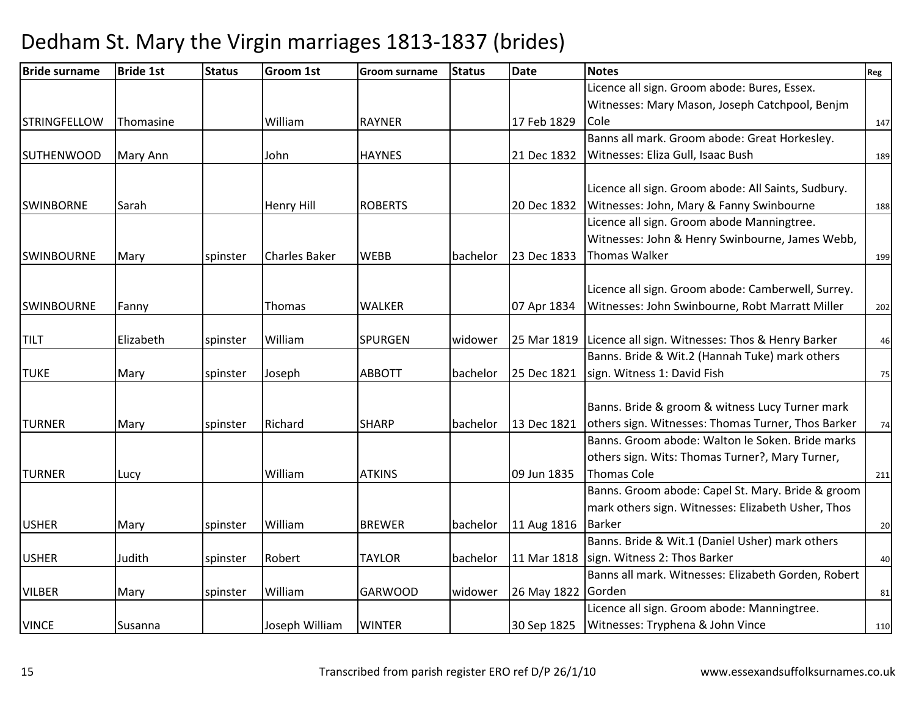| <b>Bride surname</b> | <b>Bride 1st</b> | <b>Status</b> | <b>Groom 1st</b>     | <b>Groom surname</b> | <b>Status</b> | <b>Date</b> | <b>Notes</b>                                        | <b>Reg</b> |
|----------------------|------------------|---------------|----------------------|----------------------|---------------|-------------|-----------------------------------------------------|------------|
|                      |                  |               |                      |                      |               |             | Licence all sign. Groom abode: Bures, Essex.        |            |
|                      |                  |               |                      |                      |               |             | Witnesses: Mary Mason, Joseph Catchpool, Benjm      |            |
| <b>STRINGFELLOW</b>  | Thomasine        |               | William              | <b>RAYNER</b>        |               | 17 Feb 1829 | Cole                                                | 147        |
|                      |                  |               |                      |                      |               |             | Banns all mark. Groom abode: Great Horkesley.       |            |
| <b>SUTHENWOOD</b>    | Mary Ann         |               | John                 | <b>HAYNES</b>        |               | 21 Dec 1832 | Witnesses: Eliza Gull, Isaac Bush                   | 189        |
|                      |                  |               |                      |                      |               |             |                                                     |            |
|                      |                  |               |                      |                      |               |             | Licence all sign. Groom abode: All Saints, Sudbury. |            |
| <b>SWINBORNE</b>     | Sarah            |               | <b>Henry Hill</b>    | <b>ROBERTS</b>       |               | 20 Dec 1832 | Witnesses: John, Mary & Fanny Swinbourne            | 188        |
|                      |                  |               |                      |                      |               |             | Licence all sign. Groom abode Manningtree.          |            |
|                      |                  |               |                      |                      |               |             | Witnesses: John & Henry Swinbourne, James Webb,     |            |
| <b>SWINBOURNE</b>    | Mary             | spinster      | <b>Charles Baker</b> | <b>WEBB</b>          | bachelor      | 23 Dec 1833 | <b>Thomas Walker</b>                                | 199        |
|                      |                  |               |                      |                      |               |             | Licence all sign. Groom abode: Camberwell, Surrey.  |            |
| <b>SWINBOURNE</b>    |                  |               | Thomas               | <b>WALKER</b>        |               | 07 Apr 1834 | Witnesses: John Swinbourne, Robt Marratt Miller     |            |
|                      | Fanny            |               |                      |                      |               |             |                                                     | 202        |
| <b>TILT</b>          | Elizabeth        | spinster      | William              | <b>SPURGEN</b>       | widower       | 25 Mar 1819 | Licence all sign. Witnesses: Thos & Henry Barker    | 46         |
|                      |                  |               |                      |                      |               |             | Banns. Bride & Wit.2 (Hannah Tuke) mark others      |            |
| <b>TUKE</b>          | Mary             | spinster      | Joseph               | <b>ABBOTT</b>        | bachelor      | 25 Dec 1821 | sign. Witness 1: David Fish                         | 75         |
|                      |                  |               |                      |                      |               |             |                                                     |            |
|                      |                  |               |                      |                      |               |             | Banns. Bride & groom & witness Lucy Turner mark     |            |
| <b>TURNER</b>        | Mary             | spinster      | Richard              | <b>SHARP</b>         | bachelor      | 13 Dec 1821 | others sign. Witnesses: Thomas Turner, Thos Barker  | 74         |
|                      |                  |               |                      |                      |               |             | Banns. Groom abode: Walton le Soken. Bride marks    |            |
|                      |                  |               |                      |                      |               |             | others sign. Wits: Thomas Turner?, Mary Turner,     |            |
| <b>TURNER</b>        | Lucy             |               | William              | <b>ATKINS</b>        |               | 09 Jun 1835 | <b>Thomas Cole</b>                                  | 211        |
|                      |                  |               |                      |                      |               |             | Banns. Groom abode: Capel St. Mary. Bride & groom   |            |
|                      |                  |               |                      |                      |               |             | mark others sign. Witnesses: Elizabeth Usher, Thos  |            |
| <b>USHER</b>         | Mary             | spinster      | William              | <b>BREWER</b>        | bachelor      | 11 Aug 1816 | <b>Barker</b>                                       | 20         |
|                      |                  |               |                      |                      |               |             | Banns. Bride & Wit.1 (Daniel Usher) mark others     |            |
| <b>USHER</b>         | Judith           | spinster      | Robert               | <b>TAYLOR</b>        | bachelor      | 11 Mar 1818 | sign. Witness 2: Thos Barker                        | 40         |
|                      |                  |               |                      |                      |               |             | Banns all mark. Witnesses: Elizabeth Gorden, Robert |            |
| <b>VILBER</b>        | Mary             | spinster      | William              | <b>GARWOOD</b>       | widower       | 26 May 1822 | Gorden                                              | 81         |
|                      |                  |               |                      |                      |               |             | Licence all sign. Groom abode: Manningtree.         |            |
| <b>VINCE</b>         | Susanna          |               | Joseph William       | <b>WINTER</b>        |               | 30 Sep 1825 | Witnesses: Tryphena & John Vince                    | 110        |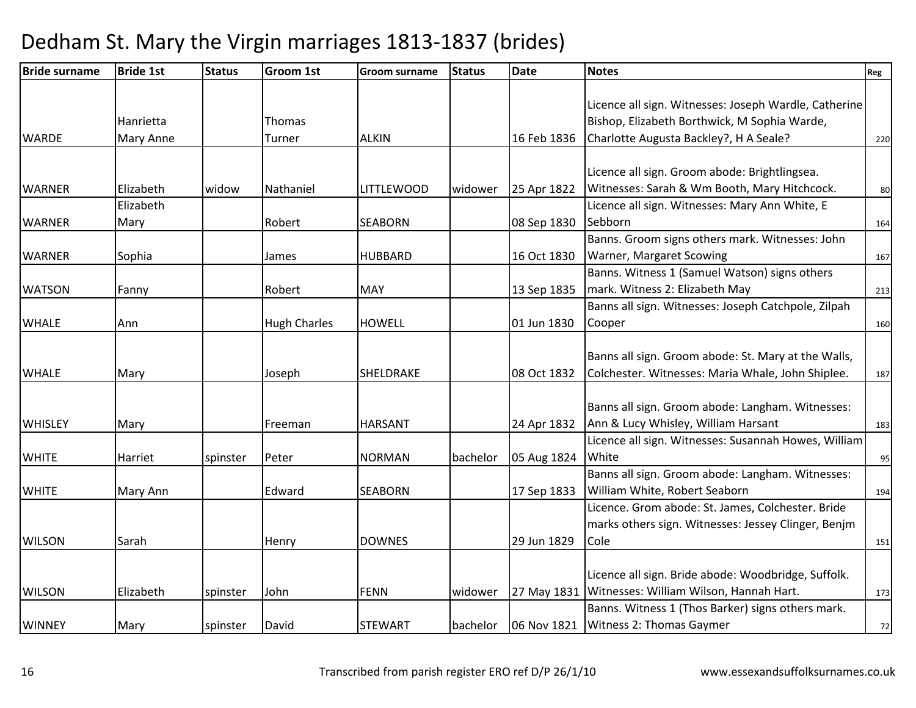| <b>Bride surname</b> | <b>Bride 1st</b> | <b>Status</b> | <b>Groom 1st</b>    | <b>Groom surname</b> | <b>Status</b> | <b>Date</b> | <b>Notes</b>                                          | Reg |
|----------------------|------------------|---------------|---------------------|----------------------|---------------|-------------|-------------------------------------------------------|-----|
|                      |                  |               |                     |                      |               |             |                                                       |     |
|                      |                  |               |                     |                      |               |             | Licence all sign. Witnesses: Joseph Wardle, Catherine |     |
|                      | Hanrietta        |               | <b>Thomas</b>       |                      |               |             | Bishop, Elizabeth Borthwick, M Sophia Warde,          |     |
| <b>WARDE</b>         | Mary Anne        |               | Turner              | <b>ALKIN</b>         |               | 16 Feb 1836 | Charlotte Augusta Backley?, H A Seale?                | 220 |
|                      |                  |               |                     |                      |               |             |                                                       |     |
|                      |                  |               |                     |                      |               |             | Licence all sign. Groom abode: Brightlingsea.         |     |
| <b>WARNER</b>        | Elizabeth        | widow         | Nathaniel           | <b>LITTLEWOOD</b>    | widower       | 25 Apr 1822 | Witnesses: Sarah & Wm Booth, Mary Hitchcock.          | 80  |
|                      | Elizabeth        |               |                     |                      |               |             | Licence all sign. Witnesses: Mary Ann White, E        |     |
| <b>WARNER</b>        | Mary             |               | Robert              | <b>SEABORN</b>       |               | 08 Sep 1830 | Sebborn                                               | 164 |
|                      |                  |               |                     |                      |               |             | Banns. Groom signs others mark. Witnesses: John       |     |
| <b>WARNER</b>        | Sophia           |               | James               | <b>HUBBARD</b>       |               | 16 Oct 1830 | Warner, Margaret Scowing                              | 167 |
|                      |                  |               |                     |                      |               |             | Banns. Witness 1 (Samuel Watson) signs others         |     |
| <b>WATSON</b>        | Fanny            |               | Robert              | <b>MAY</b>           |               | 13 Sep 1835 | mark. Witness 2: Elizabeth May                        | 213 |
|                      |                  |               |                     |                      |               |             | Banns all sign. Witnesses: Joseph Catchpole, Zilpah   |     |
| <b>WHALE</b>         | Ann              |               | <b>Hugh Charles</b> | <b>HOWELL</b>        |               | 01 Jun 1830 | Cooper                                                | 160 |
|                      |                  |               |                     |                      |               |             |                                                       |     |
|                      |                  |               |                     |                      |               |             | Banns all sign. Groom abode: St. Mary at the Walls,   |     |
| <b>WHALE</b>         | Mary             |               | Joseph              | SHELDRAKE            |               | 08 Oct 1832 | Colchester. Witnesses: Maria Whale, John Shiplee.     | 187 |
|                      |                  |               |                     |                      |               |             |                                                       |     |
|                      |                  |               |                     |                      |               |             | Banns all sign. Groom abode: Langham. Witnesses:      |     |
| <b>WHISLEY</b>       | Mary             |               | Freeman             | <b>HARSANT</b>       |               | 24 Apr 1832 | Ann & Lucy Whisley, William Harsant                   | 183 |
|                      |                  |               |                     |                      |               |             | Licence all sign. Witnesses: Susannah Howes, William  |     |
| <b>WHITE</b>         | Harriet          | spinster      | Peter               | <b>NORMAN</b>        | bachelor      | 05 Aug 1824 | White                                                 | 95  |
|                      |                  |               |                     |                      |               |             | Banns all sign. Groom abode: Langham. Witnesses:      |     |
| <b>WHITE</b>         | Mary Ann         |               | Edward              | <b>SEABORN</b>       |               | 17 Sep 1833 | William White, Robert Seaborn                         | 194 |
|                      |                  |               |                     |                      |               |             | Licence. Grom abode: St. James, Colchester. Bride     |     |
|                      |                  |               |                     |                      |               |             | marks others sign. Witnesses: Jessey Clinger, Benjm   |     |
| <b>WILSON</b>        | Sarah            |               | Henry               | <b>DOWNES</b>        |               | 29 Jun 1829 | Cole                                                  | 151 |
|                      |                  |               |                     |                      |               |             |                                                       |     |
|                      |                  |               |                     |                      |               |             | Licence all sign. Bride abode: Woodbridge, Suffolk.   |     |
| <b>WILSON</b>        | Elizabeth        | spinster      | John                | <b>FENN</b>          | widower       | 27 May 1831 | Witnesses: William Wilson, Hannah Hart.               | 173 |
|                      |                  |               |                     |                      |               |             | Banns. Witness 1 (Thos Barker) signs others mark.     |     |
| <b>WINNEY</b>        | Mary             | spinster      | David               | <b>STEWART</b>       | bachelor      | 06 Nov 1821 | Witness 2: Thomas Gaymer                              | 72  |
|                      |                  |               |                     |                      |               |             |                                                       |     |